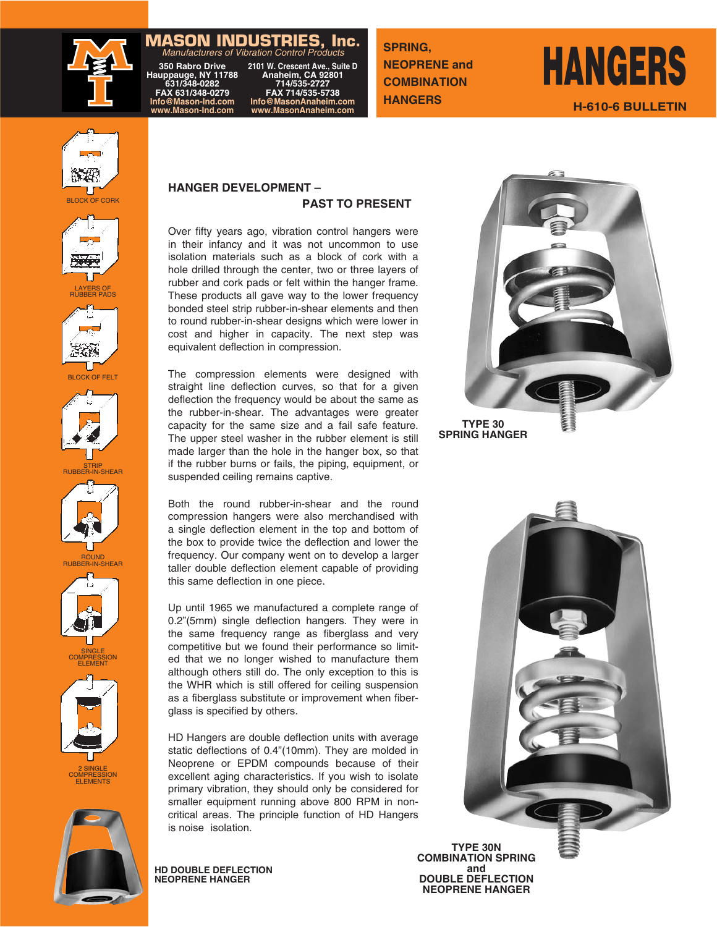### **MASON INDUSTRIES, Inc.** Manufacturers of Vibration Control Products

**350 Rabro Drive 2101 W. Crescent Ave., Suite D Hauppauge, NY 11788 Anaheim, CA 92801 631/348-0282 714/535-2727 FAX 631/348-0279 FAX 714/535-5738** 350 Rabro Drive 2101 W. Crescent Ave., Suite I<br>
Hauppauge, NY 11788 Anaheim, CA 92801<br>
631/348-0282 714/535-2727<br>
FAX 631/348-0279 FAX 714/535-5738<br>
Info@MasonAnaheim.com<br>
www.MasonAnaheim.com<br>
www.MasonAnaheim.com www.MasonAnaheim.com

**SPRING, NEOPRENE and COMBINATION HANGERS**

# **HANGERS H-610-6 BULLETIN**





LAYERS OF RUBBER PADS



















2 SINGLE ELEMENTS



### **HANGER DEVELOPMENT – PAST TO PRESENT**

Over fifty years ago, vibration control hangers were in their infancy and it was not uncommon to use isolation materials such as a block of cork with a hole drilled through the center, two or three layers of rubber and cork pads or felt within the hanger frame. These products all gave way to the lower frequency bonded steel strip rubber-in-shear elements and then to round rubber-in-shear designs which were lower in cost and higher in capacity. The next step was equivalent deflection in compression.

The compression elements were designed with straight line deflection curves, so that for a given deflection the frequency would be about the same as the rubber-in-shear. The advantages were greater capacity for the same size and a fail safe feature. The upper steel washer in the rubber element is still made larger than the hole in the hanger box, so that if the rubber burns or fails, the piping, equipment, or suspended ceiling remains captive.

Both the round rubber-in-shear and the round compression hangers were also merchandised with a single deflection element in the top and bottom of the box to provide twice the deflection and lower the frequency. Our company went on to develop a larger taller double deflection element capable of providing this same deflection in one piece.

Up until 1965 we manufactured a complete range of 0.2"(5mm) single deflection hangers. They were in the same frequency range as fiberglass and very competitive but we found their performance so limited that we no longer wished to manufacture them although others still do. The only exception to this is the WHR which is still offered for ceiling suspension as a fiberglass substitute or improvement when fiberglass is specified by others.

HD Hangers are double deflection units with average static deflections of 0.4"(10mm). They are molded in Neoprene or EPDM compounds because of their excellent aging characteristics. If you wish to isolate primary vibration, they should only be considered for smaller equipment running above 800 RPM in noncritical areas. The principle function of HD Hangers is noise isolation.

**HD DOUBLE DEFLECTION NEOPRENE HANGER**



**TYPE 30 SPRING HANGER**



**MAN** 

**TYPE 30N COMBINATION SPRING and DOUBLE DEFLECTION NEOPRENE HANGER**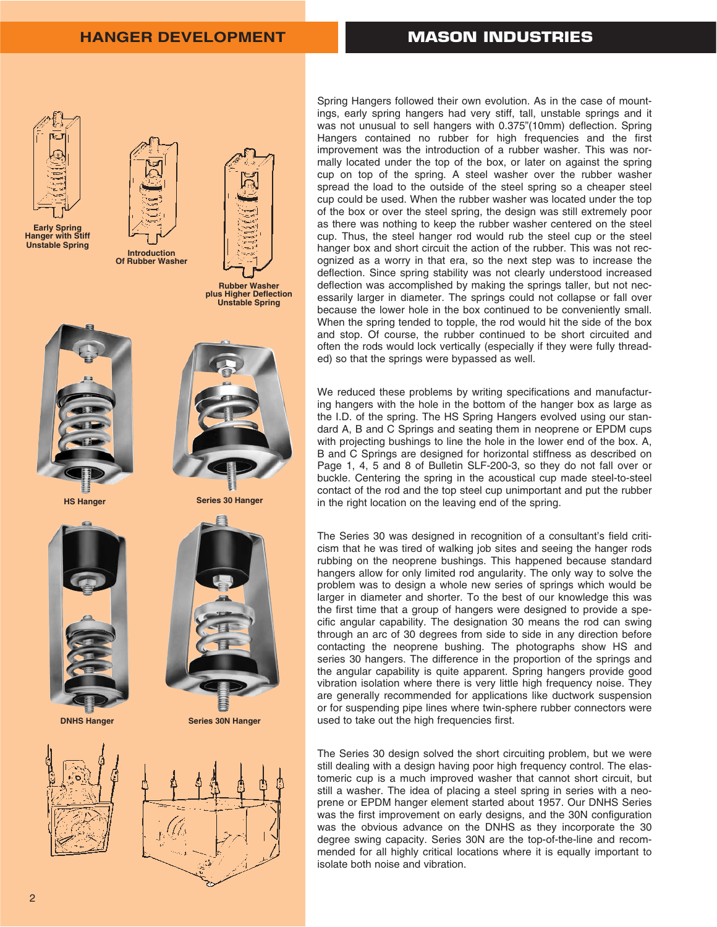

**Early Spring Hanger with Stiff Unstable Spring**





**Rubber Washer plus Higher Deflection Unstable Spring**



**HS Hanger**



**DNHS Hanger**





**Series 30N Hanger**



Spring Hangers followed their own evolution. As in the case of mountings, early spring hangers had very stiff, tall, unstable springs and it was not unusual to sell hangers with 0.375"(10mm) deflection. Spring Hangers contained no rubber for high frequencies and the first improvement was the introduction of a rubber washer. This was normally located under the top of the box, or later on against the spring cup on top of the spring. A steel washer over the rubber washer spread the load to the outside of the steel spring so a cheaper steel cup could be used. When the rubber washer was located under the top of the box or over the steel spring, the design was still extremely poor as there was nothing to keep the rubber washer centered on the steel cup. Thus, the steel hanger rod would rub the steel cup or the steel hanger box and short circuit the action of the rubber. This was not recognized as a worry in that era, so the next step was to increase the deflection. Since spring stability was not clearly understood increased deflection was accomplished by making the springs taller, but not necessarily larger in diameter. The springs could not collapse or fall over because the lower hole in the box continued to be conveniently small. When the spring tended to topple, the rod would hit the side of the box and stop. Of course, the rubber continued to be short circuited and often the rods would lock vertically (especially if they were fully threaded) so that the springs were bypassed as well.

We reduced these problems by writing specifications and manufacturing hangers with the hole in the bottom of the hanger box as large as the I.D. of the spring. The HS Spring Hangers evolved using our standard A, B and C Springs and seating them in neoprene or EPDM cups with projecting bushings to line the hole in the lower end of the box. A, B and C Springs are designed for horizontal stiffness as described on Page 1, 4, 5 and 8 of Bulletin SLF-200-3, so they do not fall over or buckle. Centering the spring in the acoustical cup made steel-to-steel contact of the rod and the top steel cup unimportant and put the rubber in the right location on the leaving end of the spring.

The Series 30 was designed in recognition of a consultant's field criticism that he was tired of walking job sites and seeing the hanger rods rubbing on the neoprene bushings. This happened because standard hangers allow for only limited rod angularity. The only way to solve the problem was to design a whole new series of springs which would be larger in diameter and shorter. To the best of our knowledge this was the first time that a group of hangers were designed to provide a specific angular capability. The designation 30 means the rod can swing through an arc of 30 degrees from side to side in any direction before contacting the neoprene bushing. The photographs show HS and series 30 hangers. The difference in the proportion of the springs and the angular capability is quite apparent. Spring hangers provide good vibration isolation where there is very little high frequency noise. They are generally recommended for applications like ductwork suspension or for suspending pipe lines where twin-sphere rubber connectors were used to take out the high frequencies first.

The Series 30 design solved the short circuiting problem, but we were still dealing with a design having poor high frequency control. The elastomeric cup is a much improved washer that cannot short circuit, but still a washer. The idea of placing a steel spring in series with a neoprene or EPDM hanger element started about 1957. Our DNHS Series was the first improvement on early designs, and the 30N configuration was the obvious advance on the DNHS as they incorporate the 30 degree swing capacity. Series 30N are the top-of-the-line and recommended for all highly critical locations where it is equally important to isolate both noise and vibration.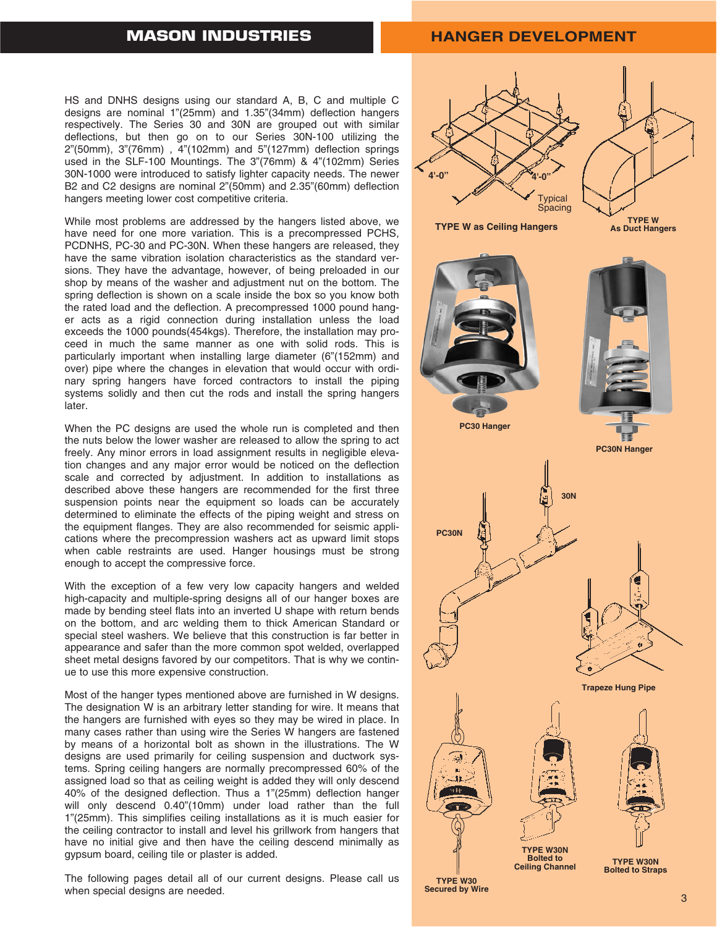## **MASON INDUSTRIES**

### **HANGER DEVELOPMENT**

HS and DNHS designs using our standard A, B, C and multiple C designs are nominal 1"(25mm) and 1.35"(34mm) deflection hangers respectively. The Series 30 and 30N are grouped out with similar deflections, but then go on to our Series 30N-100 utilizing the  $2^n(50mm)$ ,  $3^n(76mm)$ ,  $4^n(102mm)$  and  $5^n(127mm)$  deflection springs used in the SLF-100 Mountings. The 3"(76mm) & 4"(102mm) Series 30N-1000 were introduced to satisfy lighter capacity needs. The newer B2 and C2 designs are nominal 2"(50mm) and 2.35"(60mm) deflection hangers meeting lower cost competitive criteria.

While most problems are addressed by the hangers listed above, we have need for one more variation. This is a precompressed PCHS, PCDNHS, PC-30 and PC-30N. When these hangers are released, they have the same vibration isolation characteristics as the standard versions. They have the advantage, however, of being preloaded in our shop by means of the washer and adjustment nut on the bottom. The spring deflection is shown on a scale inside the box so you know both the rated load and the deflection. A precompressed 1000 pound hanger acts as a rigid connection during installation unless the load exceeds the 1000 pounds(454kgs). Therefore, the installation may proceed in much the same manner as one with solid rods. This is particularly important when installing large diameter (6"(152mm) and over) pipe where the changes in elevation that would occur with ordinary spring hangers have forced contractors to install the piping systems solidly and then cut the rods and install the spring hangers later.

When the PC designs are used the whole run is completed and then the nuts below the lower washer are released to allow the spring to act freely. Any minor errors in load assignment results in negligible elevation changes and any major error would be noticed on the deflection scale and corrected by adjustment. In addition to installations as described above these hangers are recommended for the first three suspension points near the equipment so loads can be accurately determined to eliminate the effects of the piping weight and stress on the equipment flanges. They are also recommended for seismic applications where the precompression washers act as upward limit stops when cable restraints are used. Hanger housings must be strong enough to accept the compressive force.

With the exception of a few very low capacity hangers and welded high-capacity and multiple-spring designs all of our hanger boxes are made by bending steel flats into an inverted U shape with return bends on the bottom, and arc welding them to thick American Standard or special steel washers. We believe that this construction is far better in appearance and safer than the more common spot welded, overlapped sheet metal designs favored by our competitors. That is why we continue to use this more expensive construction.

Most of the hanger types mentioned above are furnished in W designs. The designation W is an arbitrary letter standing for wire. It means that the hangers are furnished with eyes so they may be wired in place. In many cases rather than using wire the Series W hangers are fastened by means of a horizontal bolt as shown in the illustrations. The W designs are used primarily for ceiling suspension and ductwork systems. Spring ceiling hangers are normally precompressed 60% of the assigned load so that as ceiling weight is added they will only descend 40% of the designed deflection. Thus a 1"(25mm) deflection hanger will only descend 0.40"(10mm) under load rather than the full 1"(25mm). This simplifies ceiling installations as it is much easier for the ceiling contractor to install and level his grillwork from hangers that have no initial give and then have the ceiling descend minimally as gypsum board, ceiling tile or plaster is added.

The following pages detail all of our current designs. Please call us when special designs are needed. The second second secured by Wire and Secured by Wire and Secured by Wire and S

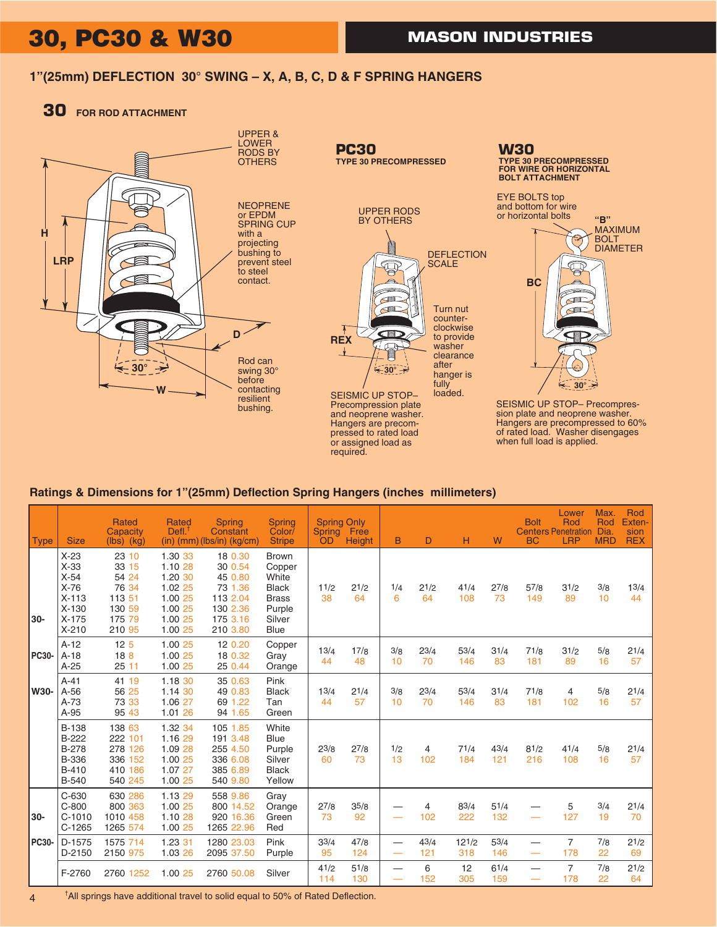## **30, PC30 & W30** MASON INDUSTRIES

### **1"(25mm) DEFLECTION 30° SWING – X, A, B, C, D & F SPRING HANGERS**

### **30 FOR ROD ATTACHMENT**



### **Ratings & Dimensions for 1"(25mm) Deflection Spring Hangers (inches millimeters)**

| <b>Type</b>  | <b>Size</b>                                                                                  | <b>Rated</b><br>Capacity<br>$(lbs)$ $(kg)$                               | Rated<br>Defl <sup>†</sup>                                                           | <b>Spring</b><br>Constant<br>(in) (mm) (lbs/in) (kg/cm)                                  | <b>Spring</b><br>Color/<br><b>Stripe</b>                                                           | <b>Spring Only</b><br><b>Spring</b><br><b>OD</b> | Free<br><b>Height</b> | B                                    | D                     | н            | W           | <b>Bolt</b><br><b>BC</b> | Lower<br>Rod<br><b>Centers Penetration</b><br><b>LRP</b> | Max.<br>Rod<br>Dia.<br><b>MRD</b> | Rod<br>Exten-<br>sion<br><b>REX</b> |
|--------------|----------------------------------------------------------------------------------------------|--------------------------------------------------------------------------|--------------------------------------------------------------------------------------|------------------------------------------------------------------------------------------|----------------------------------------------------------------------------------------------------|--------------------------------------------------|-----------------------|--------------------------------------|-----------------------|--------------|-------------|--------------------------|----------------------------------------------------------|-----------------------------------|-------------------------------------|
| $30-$        | $X-23$<br>$X-33$<br>$X-54$<br>$X-76$<br>$X-113$<br>$X-130$<br>$X-175$<br>$X-210$             | 23 10<br>33 15<br>54 24<br>76 34<br>113 51<br>130 59<br>175 79<br>210 95 | 1.30 33<br>1.10 28<br>1.20 30<br>1.02 25<br>1.00 25<br>1.00 25<br>1.00 25<br>1.00 25 | 18 0.30<br>30 0.54<br>45 0.80<br>73 1.36<br>113 2.04<br>130 2.36<br>175 3.16<br>210 3.80 | <b>Brown</b><br>Copper<br>White<br><b>Black</b><br><b>Brass</b><br>Purple<br>Silver<br><b>Blue</b> | 11/2<br>38                                       | 21/2<br>64            | 1/4<br>6                             | 21/2<br>64            | 41/4<br>108  | 27/8<br>73  | 57/8<br>149              | 31/2<br>89                                               | 3/8<br>10                         | 13/4<br>44                          |
| <b>PC30-</b> | $A-12$<br>$A-18$<br>$A-25$                                                                   | 12 <sub>5</sub><br>18 <sub>8</sub><br>25 11                              | 1.00 25<br>1.00 25<br>1.00 25                                                        | 12 0.20<br>18 0.32<br>25 0.44                                                            | Copper<br>Gray<br>Orange                                                                           | 13/4<br>44                                       | 17/8<br>48            | 3/8<br>10                            | 23/4<br>70            | 53/4<br>146  | 31/4<br>83  | 71/8<br>181              | 31/2<br>89                                               | 5/8<br>16                         | 21/4<br>57                          |
| W30-         | $A-41$<br>$A-56$<br>$A-73$<br>$A-95$                                                         | 41 19<br>56 25<br>73 33<br>95 43                                         | 1.18 30<br>1.14 30<br>1.06 27<br>1.01 26                                             | 35 0.63<br>49 0.83<br>69 1.22<br>94 1.65                                                 | Pink<br><b>Black</b><br>Tan<br>Green                                                               | 13/4<br>44                                       | 21/4<br>57            | 3/8<br>10                            | $2^{3/4}$<br>70       | 53/4<br>146  | 31/4<br>83  | 71/8<br>181              | 4<br>102                                                 | 5/8<br>16                         | 21/4<br>57                          |
|              | <b>B-138</b><br><b>B-222</b><br><b>B-278</b><br><b>B-336</b><br><b>B-410</b><br><b>B-540</b> | 138 63<br>222 101<br>278 126<br>336 152<br>410 186<br>540 245            | 1.32 34<br>1.16 29<br>1.09 28<br>1.00 25<br>1.07 27<br>1.00 25                       | 105 1.85<br>191 3.48<br>255 4.50<br>336 6.08<br>385 6.89<br>540 9.80                     | White<br><b>Blue</b><br>Purple<br>Silver<br><b>Black</b><br>Yellow                                 | 23/8<br>60                                       | 27/8<br>73            | 1/2<br>13                            | 4<br>102              | 71/4<br>184  | 43/4<br>121 | 81/2<br>216              | 41/4<br>108                                              | 5/8<br>16                         | 21/4<br>57                          |
| 30-          | $C-630$<br>$C-800$<br>$C-1010$<br>$C-1265$                                                   | 630 286<br>800 363<br>1010 458<br>1265 574                               | 1.13 29<br>1.00 25<br>1.10 28<br>1.00 25                                             | 558 9.86<br>800 14.52<br>920 16.36<br>1265 22.96                                         | Gray<br>Orange<br>Green<br>Red                                                                     | 27/8<br>73                                       | 35/8<br>92            | —<br>—<br>——                         | $\overline{4}$<br>102 | 83/4<br>222  | 51/4<br>132 |                          | 5<br>127                                                 | 3/4<br>19                         | 21/4<br>70                          |
| <b>PC30-</b> | D-1575<br>$D-2150$                                                                           | 1575 714<br>2150 975                                                     | 1.23 31<br>1.03 26                                                                   | 1280 23.03<br>2095 37.50                                                                 | Pink<br>Purple                                                                                     | 33/4<br>95                                       | 47/8<br>124           | $\overline{\phantom{0}}$<br>$\equiv$ | 43/4<br>121           | 121/2<br>318 | 53/4<br>146 |                          | $\overline{7}$<br>178                                    | 7/8<br>22                         | 21/2<br>69                          |
|              | F-2760                                                                                       | 2760 1252                                                                | 1.00 25                                                                              | 2760 50.08                                                                               | Silver                                                                                             | 41/2<br>114                                      | 51/8<br>130           | —<br>÷                               | 6<br>152              | 12<br>305    | 61/4<br>159 | --                       | $\overline{7}$<br>178                                    | 7/8<br>22                         | 21/2<br>64                          |

† All springs have additional travel to solid equal to 50% of Rated Deflection.

4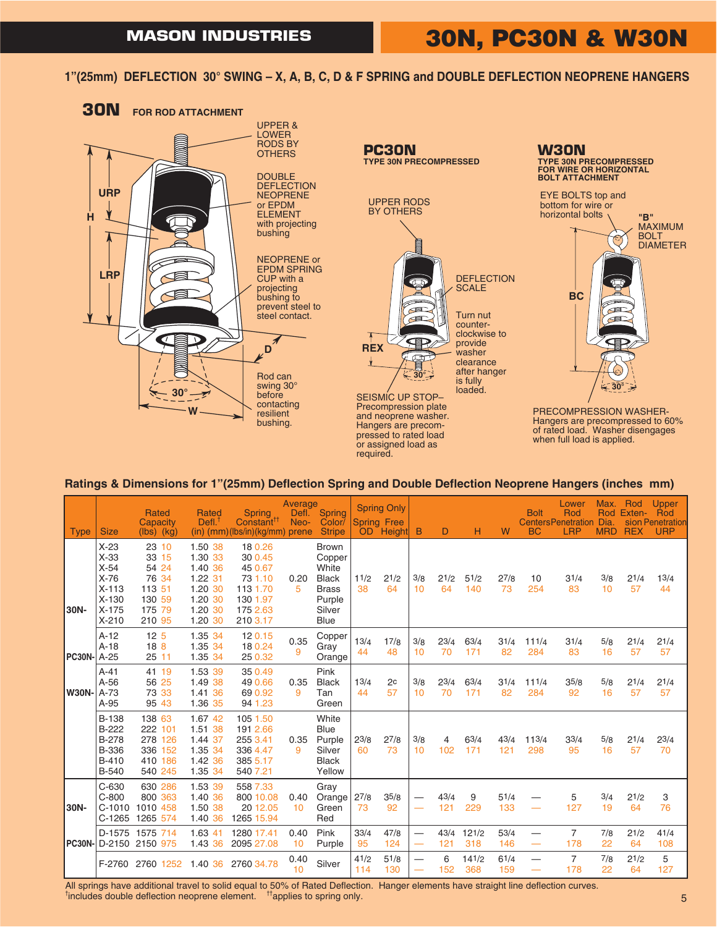**1"(25mm) DEFLECTION 30° SWING – X, A, B, C, D & F SPRING and DOUBLE DEFLECTION NEOPRENE HANGERS**





PRECOMPRESSION WASHER-Hangers are precompressed to 60% of rated load. Washer disengages when full load is applied.

### **Ratings & Dimensions for 1"(25mm) Deflection Spring and Double Deflection Neoprene Hangers (inches mm)**

required.

| <b>Type</b>        | <b>Size</b>                                                                      | Rated<br>Capacity<br>$(lbs)$ $(kg)$                                      | <b>Rated</b><br>$Defl.$ <sup>1</sup>                                                 | <b>Spring</b><br>Constant <sup>11</sup><br>$(in)$ (mm)(lbs/in)(kg/mm) prene              | Average<br>Defl.<br>Neo- | Spring<br>Color/<br><b>Stripe</b>                                                                  |             | <b>Spring Only</b><br><b>Spring Free</b><br>OD Height | B                        | D           | н            | W           | <b>Bolt</b><br><b>BC</b>                             | Lower<br>Rod<br><b>CentersPenetration</b><br><b>LRP</b> | Max.<br>Dia<br><b>MRD</b> | Rod<br>Rod Exten-<br><b>REX</b> | Upper<br>Rod<br>sion Penetration<br><b>URP</b> |
|--------------------|----------------------------------------------------------------------------------|--------------------------------------------------------------------------|--------------------------------------------------------------------------------------|------------------------------------------------------------------------------------------|--------------------------|----------------------------------------------------------------------------------------------------|-------------|-------------------------------------------------------|--------------------------|-------------|--------------|-------------|------------------------------------------------------|---------------------------------------------------------|---------------------------|---------------------------------|------------------------------------------------|
| 30N-               | $X-23$<br>$X-33$<br>$X-54$<br>$X-76$<br>$X-113$<br>$X-130$<br>$X-175$<br>$X-210$ | 23 10<br>33 15<br>54 24<br>76 34<br>113 51<br>130 59<br>175 79<br>210 95 | 1.50 38<br>1.30 33<br>1.40 36<br>1.22 31<br>1.20 30<br>1.20 30<br>1.20 30<br>1.20 30 | 18 0.26<br>30 0.45<br>45 0.67<br>73 1.10<br>113 1.70<br>130 1.97<br>175 2.63<br>210 3.17 | 0.20<br>5                | <b>Brown</b><br>Copper<br>White<br><b>Black</b><br><b>Brass</b><br>Purple<br>Silver<br><b>Blue</b> | 11/2<br>38  | 21/2<br>64                                            | 3/8<br>10                | 21/2<br>64  | 51/2<br>140  | 27/8<br>73  | 10<br>254                                            | 31/4<br>83                                              | 3/8<br>10                 | 21/4<br>57                      | 13/4<br>44                                     |
| <b>PC30N-</b> A-25 | $A-12$<br>$A-18$                                                                 | 12 <sub>5</sub><br>18 <sub>8</sub><br>2511                               | 1.35 34<br>1.35 34<br>1.35 34                                                        | 120.15<br>18 0.24<br>25 0.32                                                             | 0.35<br>9                | Copper<br>Gray<br>Orange                                                                           | 13/4<br>44  | 17/8<br>48                                            | 3/8<br>10                | 23/4<br>70  | 63/4<br>171  | 31/4<br>82  | 111/4<br>284                                         | 31/4<br>83                                              | 5/8<br>16                 | 21/4<br>57                      | 21/4<br>57                                     |
| <b>W30N-</b>       | $A-41$<br>$A-56$<br>$A-73$<br>$A-95$                                             | 41 19<br>56 25<br>73 33<br>95 43                                         | 1.53 39<br>1.49 38<br>1.41 36<br>1.36 35                                             | 35 0.49<br>49 0.66<br>69 0.92<br>94 1.23                                                 | 0.35<br>9                | Pink<br><b>Black</b><br>Tan<br>Green                                                               | 13/4<br>44  | 2c<br>57                                              | 3/8<br>10                | 23/4<br>70  | 63/4<br>171  | 31/4<br>82  | $11^{1/4}$<br>284                                    | 35/8<br>92                                              | 5/8<br>16                 | 21/4<br>57                      | 21/4<br>57                                     |
|                    | <b>B-138</b><br>B-222<br><b>B-278</b><br>B-336<br><b>B-410</b><br><b>B-540</b>   | 138 63<br>222 101<br>278 126<br>336 152<br>410 186<br>540 245            | 1.67 42<br>1.51 38<br>1.44 37<br>1.35 34<br>1.42 36<br>1.35 34                       | 105 1.50<br>191 2.66<br>255 3.41<br>336 4.47<br>385 5.17<br>540 7.21                     | 0.35<br>9                | White<br><b>Blue</b><br>Purple<br>Silver<br><b>Black</b><br>Yellow                                 | 23/8<br>60  | 27/8<br>73                                            | 3/8<br>10                | 4<br>102    | 63/4<br>171  | 43/4<br>121 | 113/4<br>298                                         | 33/4<br>95                                              | 5/8<br>16                 | 21/4<br>57                      | $2^{3/4}$<br>70                                |
| 30N-               | $C-630$<br>$C-800$<br>$C-1010$<br>$C-1265$                                       | 630 286<br>800 363<br>1010 458<br>1265 574                               | 1.53 39<br>1.40 36<br>1.50 38<br>1.40 36                                             | 558 7.33<br>800 10.08<br>20 12.05<br>1265 15.94                                          | 0.40<br>10               | Gray<br>Orange<br>Green<br>Red                                                                     | 27/8<br>73  | 35/8<br>92                                            |                          | 43/4<br>121 | 9<br>229     | 51/4<br>133 |                                                      | 5<br>127                                                | 3/4<br>19                 | 21/2<br>64                      | 3<br>76                                        |
| <b>PC30N-I</b>     | D-1575<br>D-2150                                                                 | 1575 714<br>2150 975                                                     | 1.63 41<br>1.43 36                                                                   | 1280 17.41<br>2095 27.08                                                                 | 0.40<br>10               | Pink<br>Purple                                                                                     | 33/4<br>95  | 47/8<br>124                                           | $\overline{\phantom{0}}$ | 43/4<br>121 | 121/2<br>318 | 53/4<br>146 | $\overline{\phantom{0}}$<br>$\overline{\phantom{m}}$ | $\overline{7}$<br>178                                   | 7/8<br>22                 | 21/2<br>64                      | 41/4<br>108                                    |
|                    | F-2760                                                                           | 2760 1252                                                                | 1.40 36                                                                              | 2760 34.78                                                                               | 0.40<br>10               | Silver                                                                                             | 41/2<br>114 | 51/8<br>130                                           |                          | 6<br>152    | 141/2<br>368 | 61/4<br>159 |                                                      | 7<br>178                                                | 7/8<br>22                 | 21/2<br>64                      | 5<br>127                                       |

All springs have additional travel to solid equal to 50% of Rated Deflection. Hanger elements have straight line deflection curves. <sup>t</sup>includes double deflection neoprene element. <sup>tt</sup>applies to spring only.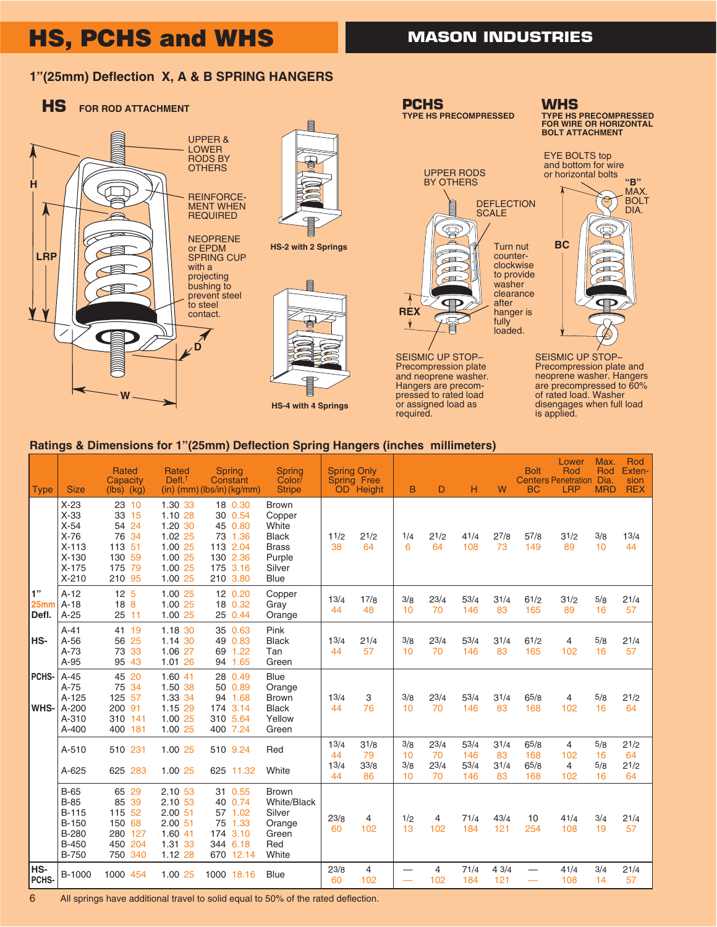# **HS, PCHS and WHS**

## **MASON INDUSTRIES**

## **1"(25mm) Deflection X, A & B SPRING HANGERS**



### **Ratings & Dimensions for 1"(25mm) Deflection Spring Hangers (inches millimeters)**

| <b>Type</b>         | <b>Size</b>                                                                                    | <b>Rated</b><br>Capacity<br>$(lbs)$ $(kg)$                               | <b>Rated</b><br>Defl <sup>1</sup>                                                    | <b>Spring</b><br>Constant<br>$(in)$ (mm) (lbs/in) (kg/mm)                                | <b>Spring</b><br>Color/<br><b>Stripe</b>                                                           | <b>Spring Only</b>       | <b>Spring Free</b><br>OD Height | B                      | D                        | н                          | W                        | <b>Bolt</b><br><b>BC</b>   | Lower<br>Rod<br><b>Centers Penetration Dia.</b><br><b>LRP</b> | Max.<br>Rod<br><b>MRD</b> | Rod<br>Exten-<br>sion<br><b>REX</b> |
|---------------------|------------------------------------------------------------------------------------------------|--------------------------------------------------------------------------|--------------------------------------------------------------------------------------|------------------------------------------------------------------------------------------|----------------------------------------------------------------------------------------------------|--------------------------|---------------------------------|------------------------|--------------------------|----------------------------|--------------------------|----------------------------|---------------------------------------------------------------|---------------------------|-------------------------------------|
|                     | $X-23$<br>$X-33$<br>$X-54$<br>$X-76$<br>$X-113$<br>$X-130$<br>$X-175$<br>$X-210$               | 23 10<br>33 15<br>54 24<br>76 34<br>113 51<br>130 59<br>175 79<br>210 95 | 1.30 33<br>1.10 28<br>1.20 30<br>1.02 25<br>1.00 25<br>1.00 25<br>1.00 25<br>1.00 25 | 18 0.30<br>30 0.54<br>45 0.80<br>73 1.36<br>113 2.04<br>130 2.36<br>175 3.16<br>210 3.80 | <b>Brown</b><br>Copper<br>White<br><b>Black</b><br><b>Brass</b><br>Purple<br>Silver<br><b>Blue</b> | 11/2<br>38               | 21/2<br>64                      | 1/4<br>6               | 21/2<br>64               | 41/4<br>108                | 27/8<br>73               | 57/8<br>149                | 31/2<br>89                                                    | 3/8<br>10                 | 13/4<br>44                          |
| 1"<br>25mm<br>Defl. | $A-12$<br>$A-18$<br>$A-25$                                                                     | 12 <sub>5</sub><br>18 <sub>8</sub><br>25 11                              | 1.00 25<br>1.00 25<br>1.00 25                                                        | 12 0.20<br>18 0.32<br>25 0.44                                                            | Copper<br>Gray<br>Orange                                                                           | 13/4<br>44               | 17/8<br>48                      | 3/8<br>10              | 23/4<br>70               | 53/4<br>146                | 31/4<br>83               | 61/2<br>165                | 31/2<br>89                                                    | 5/8<br>16                 | 21/4<br>57                          |
| HS-                 | $A-41$<br>$A-56$<br>$A-73$<br>A-95                                                             | 41 19<br>56 25<br>73 33<br>95 43                                         | 1.18 30<br>1.14 30<br>1.06 27<br>1.01 26                                             | 35 0.63<br>49 0.83<br>69 1.22<br>94 1.65                                                 | Pink<br><b>Black</b><br>Tan<br>Green                                                               | 13/4<br>44               | 21/4<br>57                      | 3/8<br>10              | 23/4<br>70               | 53/4<br>146                | 31/4<br>83               | 61/2<br>165                | 4<br>102                                                      | 5/8<br>16                 | 21/4<br>57                          |
| PCHS-<br>WHS-       | $A-45$<br>$A-75$<br>$A-125$<br>A-200<br>A-310<br>$A-400$                                       | 45 20<br>75 34<br>125 57<br>200 91<br>310 141<br>400 181                 | 1.60 41<br>1.50 38<br>1.33 34<br>1.15 29<br>1.00 25<br>1.00 25                       | 28 0.49<br>50 0.89<br>94 1.68<br>174 3.14<br>310 5.64<br>400 7.24                        | <b>Blue</b><br>Orange<br><b>Brown</b><br><b>Black</b><br>Yellow<br>Green                           | 13/4<br>44               | 3<br>76                         | 3/8<br>10              | 23/4<br>70               | 53/4<br>146                | 31/4<br>83               | 65/8<br>168                | 4<br>102                                                      | 5/8<br>16                 | 21/2<br>64                          |
|                     | A-510<br>A-625                                                                                 | 510 231<br>625 283                                                       | 1.00 25<br>1.00 25                                                                   | 510 9.24<br>625 11.32                                                                    | Red<br>White                                                                                       | 13/4<br>44<br>13/4<br>44 | 31/8<br>79<br>33/8<br>86        | 3/8<br>10<br>3/8<br>10 | 23/4<br>70<br>23/4<br>70 | 53/4<br>146<br>53/4<br>146 | 31/4<br>83<br>31/4<br>83 | 65/8<br>168<br>65/8<br>168 | 4<br>102<br>4<br>102                                          | 5/8<br>16<br>5/8<br>16    | 21/2<br>64<br>21/2<br>64            |
|                     | $B-65$<br><b>B-85</b><br><b>B-115</b><br><b>B-150</b><br>B-280<br><b>B-450</b><br><b>B-750</b> | 65 29<br>85 39<br>115 52<br>150 68<br>280 127<br>450 204<br>750 340      | 2.10 53<br>2.10 53<br>2.0051<br>2.0051<br>1.60 41<br>1.31 33<br>1.12 28              | 31 0.55<br>40 0.74<br>57 1.02<br>75 1.33<br>174 3.10<br>344 6.18<br>670 12.14            | <b>Brown</b><br><b>White/Black</b><br>Silver<br>Orange<br>Green<br>Red<br>White                    | 23/8<br>60               | 4<br>102                        | 1/2<br>13              | 4<br>102                 | 71/4<br>184                | 43/4<br>121              | 10<br>254                  | 41/4<br>108                                                   | 3/4<br>19                 | 21/4<br>57                          |
| HS-<br><b>PCHS</b>  | B-1000                                                                                         | 1000<br>454                                                              | 1.00 25                                                                              | 1000 18.16                                                                               | Blue                                                                                               | 23/8<br>60               | $\overline{4}$<br>102           |                        | $\overline{4}$<br>102    | 71/4<br>184                | 43/4<br>121              | $\overline{\phantom{0}}$   | 41/4<br>108                                                   | 3/4<br>14                 | 21/4<br>57                          |

6 All springs have additional travel to solid equal to 50% of the rated deflection.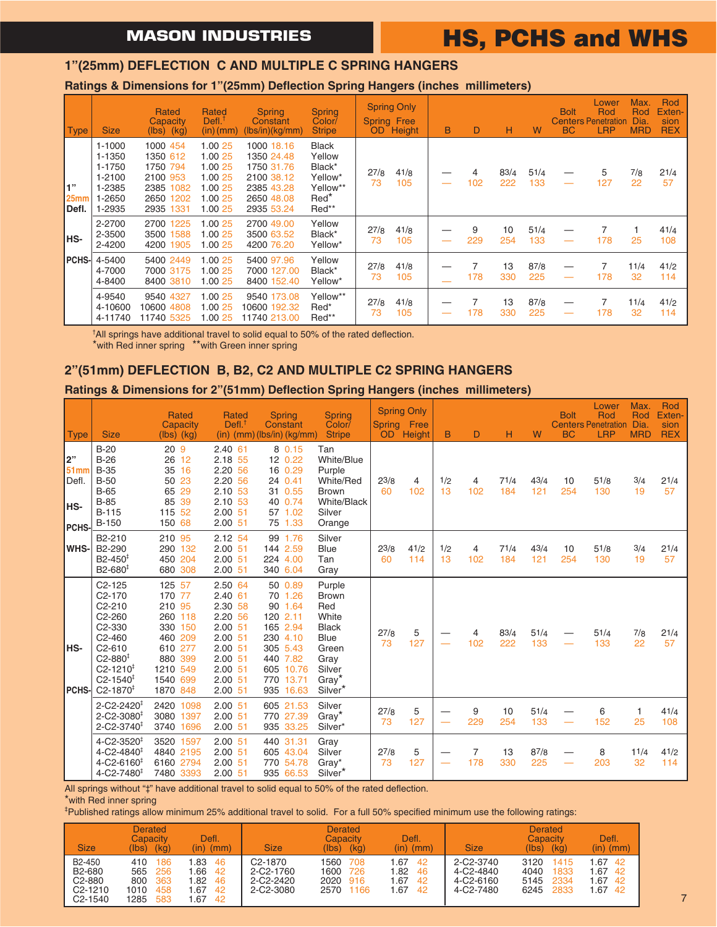# **HS, PCHS and WHS**

### **1"(25mm) DEFLECTION C AND MULTIPLE C SPRING HANGERS**

### **Ratings & Dimensions for 1"(25mm) Deflection Spring Hangers (inches millimeters)**

| <b>Type</b>                       | <b>Size</b>                                                            | Rated<br>Capacity<br>$(lbs)$ $(kg)$                                                    | Rated<br>Defl. <sup>1</sup><br>$(in)$ (mm)                                | <b>Spring</b><br>Constant<br>(lbs/in)(kg/mm)                                                   | <b>Spring</b><br>Color/<br><b>Stripe</b>                                             | OD.        | <b>Spring Only</b><br><b>Spring Free</b><br>Height | B | D        | н           | W           | <b>Bolt</b><br><b>BC</b> | Lower<br>Rod<br><b>Centers Penetration</b><br><b>LRP</b> | Max.<br>Rod<br>Dia.<br><b>MRD</b> | Rod<br>Exten-<br>sion<br><b>REX</b> |
|-----------------------------------|------------------------------------------------------------------------|----------------------------------------------------------------------------------------|---------------------------------------------------------------------------|------------------------------------------------------------------------------------------------|--------------------------------------------------------------------------------------|------------|----------------------------------------------------|---|----------|-------------|-------------|--------------------------|----------------------------------------------------------|-----------------------------------|-------------------------------------|
| 1"<br>25 <sub>mm</sub><br>l Defl. | $1 - 1000$<br>1-1350<br>1-1750<br>1-2100<br>1-2385<br>1-2650<br>1-2935 | 1000 454<br>1350 612<br>1750 794<br>2100 953<br>2385 1082<br>2650<br>1202<br>2935 1331 | 1.00 25<br>1.00 25<br>1.00 25<br>1.00 25<br>1.00 25<br>1.00 25<br>1.00 25 | 1000 18.16<br>1350 24.48<br>1750 31.76<br>2100 38.12<br>2385 43.28<br>2650 48.08<br>2935 53.24 | <b>Black</b><br>Yellow<br>Black*<br>Yellow*<br>Yellow**<br>Red <sup>*</sup><br>Red** | 27/8<br>73 | 41/8<br>105                                        |   | 4<br>102 | 83/4<br>222 | 51/4<br>133 |                          | 5<br>127                                                 | 7/8<br>22                         | 21/4<br>57                          |
| IHS-                              | 2-2700<br>2-3500<br>2-4200                                             | 2700 1225<br>3500 1588<br>4200 1905                                                    | 1.00 25<br>1.00 25<br>1.00 25                                             | 2700 49.00<br>3500 63.52<br>4200 76.20                                                         | Yellow<br>Black*<br>Yellow*                                                          | 27/8<br>73 | 41/8<br>105                                        |   | 9<br>229 | 10<br>254   | 51/4<br>133 |                          | 178                                                      | 25                                | 41/4<br>108                         |
| PCHS-                             | 4-5400<br>4-7000<br>4-8400                                             | 5400 2449<br>7000 3175<br>8400 3810                                                    | 1.00 25<br>1.00 25<br>1.00 25                                             | 5400 97.96<br>7000 127.00<br>8400 152.40                                                       | Yellow<br>Black*<br>Yellow*                                                          | 27/8<br>73 | 41/8<br>105                                        |   | 178      | 13<br>330   | 87/8<br>225 | –                        | 178                                                      | 11/4<br>32                        | 41/2<br>114                         |
|                                   | 4-9540<br>4-10600<br>4-11740                                           | 9540 4327<br>10600 4808<br>11740 5325                                                  | 1.00 25<br>1.00 25<br>1.00 25                                             | 9540 173.08<br>10600 192.32<br>11740 213.00                                                    | Yellow**<br>Red*<br>Red**                                                            | 27/8<br>73 | 41/8<br>105                                        |   | 178      | 13<br>330   | 87/8<br>225 | –                        | 178                                                      | 11/4<br>32                        | 41/2<br>114                         |

† All springs have additional travel to solid equal to 50% of the rated deflection.

#### \*with Red inner spring \*\*with Green inner spring

## **2"(51mm) DEFLECTION B, B2, C2 AND MULTIPLE C2 SPRING HANGERS**

### **Ratings & Dimensions for 2"(51mm) Deflection Spring Hangers (inches millimeters)**

|                                                        |                                                                                                                                                                                                                   | Rated<br>Capacity                                                                                                     | Rated<br>Defl <sup>†</sup>                                                                                                            | <b>Spring</b><br>Constant                                                                                                        | <b>Spring</b><br>Color/                                                                                                   |                 | <b>Spring Only</b><br>Spring Free |           |          |             |             | <b>Bolt</b> | Lower<br>Rod<br><b>Centers Penetration</b> | Max.<br>Rod<br>Dia. | Rod<br>Exten-<br>sion |
|--------------------------------------------------------|-------------------------------------------------------------------------------------------------------------------------------------------------------------------------------------------------------------------|-----------------------------------------------------------------------------------------------------------------------|---------------------------------------------------------------------------------------------------------------------------------------|----------------------------------------------------------------------------------------------------------------------------------|---------------------------------------------------------------------------------------------------------------------------|-----------------|-----------------------------------|-----------|----------|-------------|-------------|-------------|--------------------------------------------|---------------------|-----------------------|
| <b>Type</b>                                            | <b>Size</b>                                                                                                                                                                                                       | $(lbs)$ $(kg)$                                                                                                        |                                                                                                                                       | $(in)$ (mm) (lbs/in) (kg/mm)                                                                                                     | <b>Stripe</b>                                                                                                             | OD <sup>1</sup> | Height                            | B         | D        | н           | W           | <b>BC</b>   | <b>LRP</b>                                 | <b>MRD</b>          | <b>REX</b>            |
| 2"<br>51 <sub>mm</sub><br>Defl.<br><b>HS-</b><br>PCHS- | $B-20$<br>$B-26$<br><b>B-35</b><br>$B-50$<br>$B-65$<br>$B-85$<br><b>B-115</b><br><b>B-150</b>                                                                                                                     | 20 <sub>9</sub><br>26 12<br>35 16<br>50 23<br>65 29<br>85 39<br>115 52<br>150 68                                      | $2.40$ 61<br>2.18 55<br>2.20 56<br>2.20 56<br>2.10 53<br>2.10 53<br>$2.00$ 51<br>$2.00$ 51                                            | 8 0.15<br>12 0.22<br>16 0.29<br>24 0.41<br>31 0.55<br>40 0.74<br>57 1.02<br>75 1.33                                              | Tan<br>White/Blue<br>Purple<br>White/Red<br><b>Brown</b><br>White/Black<br>Silver<br>Orange                               | 23/8<br>60      | 4<br>102                          | 1/2<br>13 | 4<br>102 | 71/4<br>184 | 43/4<br>121 | 10<br>254   | 51/8<br>130                                | 3/4<br>19           | 21/4<br>57            |
| WHS-                                                   | B2-210<br>B2-290<br>$B2 - 450^{\ddagger}$<br>B2-680 <sup>‡</sup>                                                                                                                                                  | 210 95<br>290 132<br>450 204<br>680 308                                                                               | 2.12 54<br>$2.00$ 51<br>$2.00$ 51<br>$2.00$ 51                                                                                        | 99 1.76<br>144 2.59<br>224 4.00<br>340 6.04                                                                                      | Silver<br><b>Blue</b><br>Tan<br>Gray                                                                                      | 23/8<br>60      | 41/2<br>114                       | 1/2<br>13 | 4<br>102 | 71/4<br>184 | 43/4<br>121 | 10<br>254   | 51/8<br>130                                | 3/4<br>19           | 21/4<br>57            |
| HS-<br>PCHS-                                           | $C2-125$<br>$C2-170$<br>$C2-210$<br>C <sub>2</sub> -260<br>C <sub>2</sub> -330<br>$C2-460$<br>$C2 - 610$<br>$C2 - 880^{\ddagger}$<br>$C2 - 1210^{\ddagger}$<br>$C2 - 1540^{\ddagger}$<br>$C2 - 1870$ <sup>‡</sup> | 125 57<br>170 77<br>210 95<br>260 118<br>330 150<br>460 209<br>610 277<br>880 399<br>1210 549<br>1540 699<br>1870 848 | 2.50 64<br>$2.40$ 61<br>2.30 58<br>2.20 56<br>$2.00$ 51<br>$2.00$ 51<br>$2.00$ 51<br>$2.00$ 51<br>$2.00$ 51<br>$2.00$ 51<br>$2.00$ 51 | 50 0.89<br>70 1.26<br>90 1.64<br>120 2.11<br>165 2.94<br>230 4.10<br>305 5.43<br>440 7.82<br>605 10.76<br>770 13.71<br>935 16.63 | Purple<br><b>Brown</b><br>Red<br>White<br><b>Black</b><br>Blue<br>Green<br>Gray<br>Silver<br>Gray <sup>*</sup><br>Silver* | 27/8<br>73      | 5<br>127                          |           | 4<br>102 | 83/4<br>222 | 51/4<br>133 |             | 51/4<br>133                                | 7/8<br>22           | 21/4<br>57            |
|                                                        | $2 - C2 - 2420$ <sup>‡</sup><br>$2 - C2 - 3080^{\ddagger}$<br>$2 - C2 - 3740$ <sup>#</sup>                                                                                                                        | 2420 1098<br>3080<br>1397<br>3740 1696                                                                                | $2.00$ 51<br>$2.00$ 51<br>$2.00$ 51                                                                                                   | 605 21.53<br>770 27.39<br>935 33.25                                                                                              | Silver<br>Gray <sup>*</sup><br>Silver*                                                                                    | 27/8<br>73      | 5<br>127                          |           | 9<br>229 | 10<br>254   | 51/4<br>133 |             | 6<br>152                                   | 1<br>25             | 41/4<br>108           |
|                                                        | $4 - C2 - 3520$ <sup>‡</sup><br>$4 - C2 - 4840^{\ddagger}$<br>$4 - C2 - 6160^{\ddagger}$<br>$4 - C2 - 7480^{\ddagger}$                                                                                            | 3520 1597<br>4840 2195<br>6160<br>2794<br>7480 3393                                                                   | $2.00$ 51<br>$2.00$ 51<br>$2.00$ 51<br>$2.00$ 51                                                                                      | 440 31.31<br>605 43.04<br>770 54.78<br>935 66.53                                                                                 | Gray<br>Silver<br>Gray*<br>Silver*                                                                                        | 27/8<br>73      | 5<br>127                          |           | 7<br>178 | 13<br>330   | 87/8<br>225 |             | 8<br>203                                   | 11/4<br>32          | 41/2<br>114           |

All springs without "‡" have additional travel to solid equal to 50% of the rated deflection.

\*with Red inner spring

‡ Published ratings allow minimum 25% additional travel to solid. For a full 50% specified minimum use the following ratings:

| <b>Size</b>                                                                                              | <b>Derated</b><br>Capacity<br>(kg)<br>(Ibs)                           | Defl.<br>(in)<br>(mm)                                           | <b>Size</b>                                                       | <b>Derated</b><br>Capacity<br>(kg)<br>(lbs)               | Defl.<br>$(in)$ $(mm)$                                | <b>Size</b>                                      | <b>Derated</b><br>Capacity<br>(kg)<br>(lbs)                  | <b>Defl</b><br>$(in)$ $(mm)$                     |
|----------------------------------------------------------------------------------------------------------|-----------------------------------------------------------------------|-----------------------------------------------------------------|-------------------------------------------------------------------|-----------------------------------------------------------|-------------------------------------------------------|--------------------------------------------------|--------------------------------------------------------------|--------------------------------------------------|
| B <sub>2</sub> -450<br>B <sub>2</sub> -680<br>C <sub>2</sub> -880<br>$C2 - 1210$<br>C <sub>2</sub> -1540 | 410<br>186<br>565<br>-256<br>363<br>800<br>1010<br>458<br>1285<br>583 | 46<br>.83<br>.66<br>42<br>.82<br>-46<br>.67<br>42<br>.67<br>-42 | C <sub>2</sub> -1870<br>2-C2-1760<br>$2 - C2 - 2420$<br>2-C2-3080 | 1560<br>708<br>1600<br>726<br>2020<br>916<br>2570<br>1166 | .67<br>42<br>1.82<br>46<br>1.67<br>-42<br>1.67<br>-42 | 2-C2-3740<br>4-C2-4840<br>4-C2-6160<br>4-C2-7480 | 3120<br>1415<br>4040<br>1833<br>5145<br>2334<br>6245<br>2833 | 42<br>.67<br>.67<br>42<br>.67<br>42<br>.67<br>42 |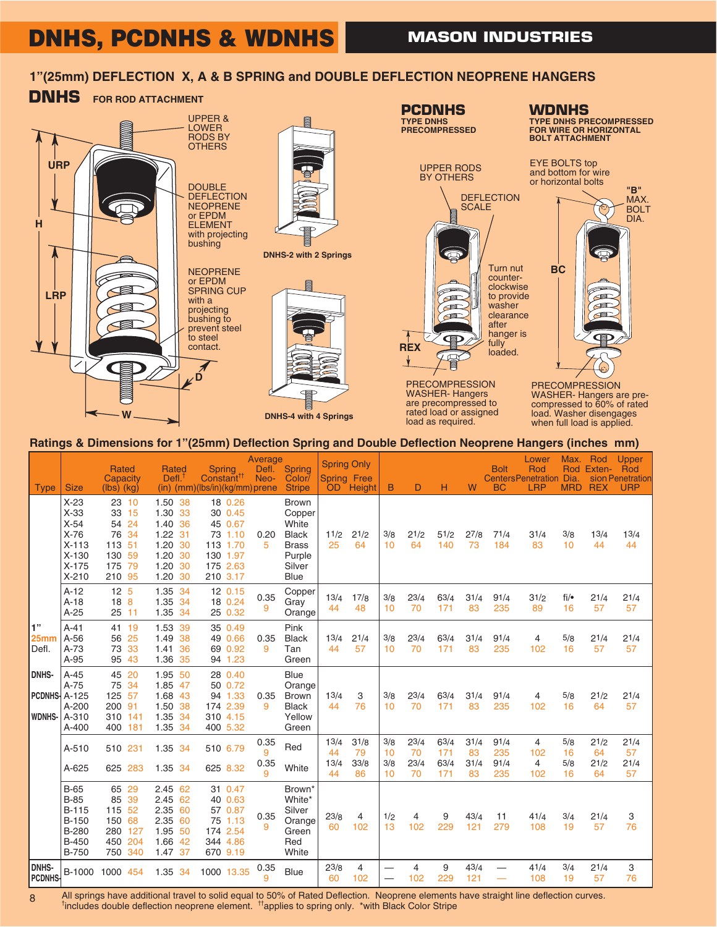## **DNHS, PCDNHS & WDNHS**

## **1"(25mm) DEFLECTION X, A & B SPRING and DOUBLE DEFLECTION NEOPRENE HANGERS**



#### **Ratings & Dimensions for 1"(25mm) Deflection Spring and Double Deflection Neoprene Hangers (inches mm)**

| <b>Type</b>                                   | <b>Size</b>                                                                                      | <b>Rated</b><br>Capacity<br>$(lbs)$ $(kg)$                                   | <b>Rated</b><br>Defl.                                                                | <b>Spring</b><br>Constant <sup>11</sup><br>$(in)$ (mm)( $lbs/in)$ (kg/mm) prene          | Average<br>Defl.<br>Neo- | Spring<br>Color/<br><b>Stripe</b>                                                           | <b>Spring Only</b><br><b>Spring Free</b> | OD Height                | B                      | D                        | н                          | W                        | <b>Bolt</b><br><b>BC</b>   | Lower<br>Rod<br><b>CentersPenetration Dia</b><br><b>LRP</b> | Max.<br><b>MRD</b>     | Rod<br>Rod Exten-<br><b>REX</b> | <b>Upper</b><br>Rod<br>sion Penetration<br><b>URP</b> |
|-----------------------------------------------|--------------------------------------------------------------------------------------------------|------------------------------------------------------------------------------|--------------------------------------------------------------------------------------|------------------------------------------------------------------------------------------|--------------------------|---------------------------------------------------------------------------------------------|------------------------------------------|--------------------------|------------------------|--------------------------|----------------------------|--------------------------|----------------------------|-------------------------------------------------------------|------------------------|---------------------------------|-------------------------------------------------------|
|                                               | $X-23$<br>$X-33$<br>$X-54$<br>$X-76$<br>$X-113$<br>$X-130$<br>$X-175$<br>$X-210$                 | 23 10<br>15<br>33<br>54 24<br>76 34<br>113 51<br>130 59<br>175 79<br>210 95  | 1.50 38<br>1.30 33<br>1.40 36<br>1.22 31<br>1.20 30<br>1.20 30<br>1.20 30<br>1.20 30 | 18 0.26<br>30 0.45<br>45 0.67<br>73 1.10<br>113 1.70<br>130 1.97<br>175 2.63<br>210 3.17 | 0.20<br>5                | <b>Brown</b><br>Copper<br>White<br><b>Black</b><br><b>Brass</b><br>Purple<br>Silver<br>Blue | 11/2<br>25                               | 21/2<br>64               | 3/8<br>10              | 21/2<br>64               | 51/2<br>140                | 27/8<br>73               | 71/4<br>184                | 31/4<br>83                                                  | 3/8<br>10              | 13/4<br>44                      | 13/4<br>44                                            |
|                                               | $A-12$<br>$A-18$<br>$A-25$                                                                       | 12 <sub>5</sub><br>18 <sub>8</sub><br>25 11                                  | 1.35 34<br>1.35<br>-34<br>1.35 34                                                    | 12 0.15<br>18 0.24<br>25 0.32                                                            | 0.35<br>9                | Copper<br>Gray<br>Orange                                                                    | 13/4<br>44                               | 17/8<br>48               | 3/8<br>10              | 23/4<br>70               | 63/4<br>171                | 31/4<br>83               | 91/4<br>235                | 31/2<br>89                                                  | $fi/\bullet$<br>16     | 21/4<br>57                      | 21/4<br>57                                            |
| 1"<br>25 <sub>mm</sub><br>Defl.               | $A-41$<br>$A-56$<br>$A-73$<br>A-95                                                               | 41 19<br>25<br>56<br>73 33<br>95 43                                          | 1.53 39<br>1.49 38<br>36<br>1.41<br>1.36 35                                          | 35 0.49<br>49 0.66<br>69 0.92<br>94 1.23                                                 | 0.35<br>9                | Pink<br><b>Black</b><br>Tan<br>Green                                                        | 13/4<br>44                               | 21/4<br>57               | 3/8<br>10              | 23/4<br>70               | 63/4<br>171                | 31/4<br>83               | 91/4<br>235                | 4<br>102                                                    | 5/8<br>16              | 21/4<br>57                      | 21/4<br>57                                            |
| <b>DNHS-</b><br>PCDNHS-A-125<br><b>WDNHS-</b> | $A-45$<br>$A-75$<br>$A-200$<br>A-310<br>$A - 400$                                                | 45 20<br>34<br>75<br>57<br>125<br>200 91<br>310 141<br>400 181               | 1.95 50<br>1.85 47<br>1.68 43<br>1.50 38<br>1.35 34<br>1.35 34                       | 28 0.40<br>50 0.72<br>94 1.33<br>174 2.39<br>310 4.15<br>400 5.32                        | 0.35<br>9                | <b>Blue</b><br>Orange<br><b>Brown</b><br><b>Black</b><br>Yellow<br>Green                    | 13/4<br>44                               | 3<br>76                  | 3/8<br>10              | 23/4<br>70               | 63/4<br>171                | 31/4<br>83               | 91/4<br>235                | 4<br>102                                                    | 5/8<br>16              | 21/2<br>64                      | 21/4<br>57                                            |
|                                               | A-510<br>A-625                                                                                   | 510 231<br>625 283                                                           | 1.35 34<br>1.35 34                                                                   | 510 6.79<br>625 8.32                                                                     | 0.35<br>9<br>0.35<br>9   | Red<br>White                                                                                | 13/4<br>44<br>13/4<br>44                 | 31/8<br>79<br>33/8<br>86 | 3/8<br>10<br>3/8<br>10 | 23/4<br>70<br>23/4<br>70 | 63/4<br>171<br>63/4<br>171 | 31/4<br>83<br>31/4<br>83 | 91/4<br>235<br>91/4<br>235 | 4<br>102<br>4<br>102                                        | 5/8<br>16<br>5/8<br>16 | 21/2<br>64<br>21/2<br>64        | 21/4<br>57<br>21/4<br>57                              |
|                                               | $B-65$<br>$B-85$<br><b>B-115</b><br><b>B-150</b><br><b>B-280</b><br><b>B-450</b><br><b>B-750</b> | 29<br>65<br>39<br>85<br>115 52<br>150 68<br>280 127<br>450<br>204<br>750 340 | 2.45 62<br>2.45 62<br>2.35 60<br>2.35 60<br>1.95 50<br>1.66 42<br>1.47 37            | 31 0.47<br>40 0.63<br>57 0.87<br>75 1.13<br>174 2.54<br>344 4.86<br>670 9.19             | 0.35<br>9                | Brown*<br>White*<br>Silver<br>Orange<br>Green<br>Red<br>White                               | 23/8<br>60                               | 4<br>102                 | 1/2<br>13              | $\overline{4}$<br>102    | 9<br>229                   | 43/4<br>121              | 11<br>279                  | 41/4<br>108                                                 | 3/4<br>19              | 21/4<br>57                      | 3<br>76                                               |
| <b>DNHS-</b><br>PCDNHS-                       | B-1000                                                                                           | 1000 454                                                                     | 1.35 34                                                                              | 1000 13.35                                                                               | 0.35<br>9                | <b>Blue</b>                                                                                 | 23/8<br>60                               | 4<br>102                 | —                      | 4<br>102                 | 9<br>229                   | 43/4<br>121              |                            | 41/4<br>108                                                 | 3/4<br>19              | 21/4<br>57                      | 3<br>76                                               |

All springs have additional travel to solid equal to 50% of Rated Deflection. Neoprene elements have straight line deflection curves. <sup>†</sup>includes double deflection neoprene element. <sup>††</sup>applies to spring only. \*with Black Color Stripe

8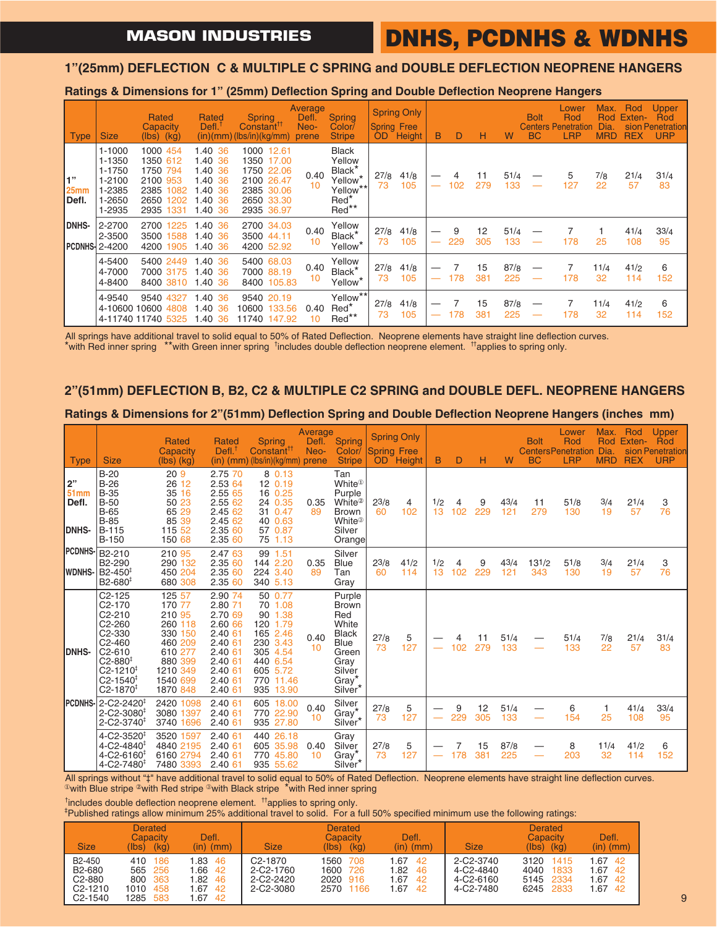## **DNHS, PCDNHS & WDNHS**

### **1"(25mm) DEFLECTION C & MULTIPLE C SPRING and DOUBLE DEFLECTION NEOPRENE HANGERS**

**Ratings & Dimensions for 1" (25mm) Deflection Spring and Double Deflection Neoprene Hangers**

| <b>Type</b>                     | <b>Size</b>                                                                | Rated<br>Capacity<br>$(lbs)$ $(kg)$                                                          | Rated<br>Defl.                                                           | <b>Spring</b><br><b>Constant<sup>TT</sup></b><br>(in)(mm)(bs/in)(kg/mm)                           | Average<br>Defl.<br>Neo-<br>prene | <b>Spring</b><br>Color/<br><b>Stripe</b>                                                                     | <b>Spring Free</b><br><b>OD</b> | <b>Spring Only</b><br>Height | B | D        | н         | W           | <b>Bolt</b><br>BC | Lower<br>Rod<br><b>Centers Penetration</b><br><b>LRP</b> | Max.<br><b>Rod</b><br>Dia<br><b>MRD</b> | Rod<br>Exten-<br><b>REX</b> | Upper<br>Rod<br>sion Penetration<br><b>URP</b> |
|---------------------------------|----------------------------------------------------------------------------|----------------------------------------------------------------------------------------------|--------------------------------------------------------------------------|---------------------------------------------------------------------------------------------------|-----------------------------------|--------------------------------------------------------------------------------------------------------------|---------------------------------|------------------------------|---|----------|-----------|-------------|-------------------|----------------------------------------------------------|-----------------------------------------|-----------------------------|------------------------------------------------|
| 1"<br>25 <sub>mm</sub><br>Defl. | $1 - 1000$<br>1-1350<br>1-1750<br>$1 - 2100$<br>1-2385<br>1-2650<br>1-2935 | 1000 454<br>1350 612<br>1750 794<br>2100 953<br>2385<br>1082<br>2650<br>1202<br>2935<br>1331 | 1.40 36<br>1.40 36<br>1.40 36<br>1.40 36<br>.40, 36<br>.40.36<br>1.40 36 | 1000 12.61<br>1350<br>17.00<br>1750 22.06<br>2100 26.47<br>2385 30.06<br>2650 33.30<br>2935 36.97 | 0.40<br>10                        | <b>Black</b><br>Yellow<br>Black <sup>*</sup><br>Yellow <sup>*</sup><br>Yellow**<br>Red <sup>*</sup><br>Red** | 27/8<br>73                      | 41/8<br>105                  |   | 102      | 11<br>279 | 51/4<br>133 |                   | 5<br>127                                                 | 7/8<br>22                               | 21/4<br>57                  | 31/4<br>83                                     |
| <b>DNHS-</b><br>I PCDNHS-I      | 2-2700<br>2-3500<br>2-4200                                                 | 2700<br>1225<br>3500<br>1588<br>4200<br>1905                                                 | $.40\,36$<br>.40.36<br>1.40 36                                           | 2700 34.03<br>3500 44.11<br>4200 52.92                                                            | 0.40<br>10                        | Yellow<br>Black*<br>Yellow <sup>*</sup>                                                                      | 27/8<br>73                      | 41/8<br>105                  |   | 9<br>229 | 12<br>305 | 51/4<br>133 |                   | 178                                                      | 25                                      | 41/4<br>108                 | 33/4<br>95                                     |
|                                 | 4-5400<br>4-7000<br>4-8400                                                 | 5400 2449<br>7000 3175<br>8400 3810                                                          | 1.40 36<br>1.40 36<br>1.40 36                                            | 5400 68.03<br>7000 88.19<br>8400 105.83                                                           | 0.40<br>10                        | Yellow<br>Black*<br>Yellow <sup>*</sup>                                                                      | 27/8<br>73                      | 41/8<br>105                  |   | 178      | 15<br>381 | 87/8<br>225 |                   | 178                                                      | 11/4<br>32                              | 41/2<br>114                 | 6<br>152                                       |
|                                 | 4-9540                                                                     | 9540 4327<br>4-10600 10600 4808<br>4-11740 11740 5325                                        | 1.40 36<br>.40 36<br>1.40 36                                             | 9540 20.19<br>10600<br>133.56<br>11740 147.92                                                     | 0.40<br>10                        | Yellow**<br>Red <sup>*</sup><br>Red**                                                                        | 27/8<br>73                      | 41/8<br>105                  |   | 178      | 15<br>381 | 87/8<br>225 |                   | 178                                                      | 11/4<br>32                              | 41/2<br>114                 | 6<br>152                                       |

All springs have additional travel to solid equal to 50% of Rated Deflection. Neoprene elements have straight line deflection curves. \*with Red inner spring \*\*with Green inner spring † includes double deflection neoprene element. ††applies to spring only.

### **2"(51mm) DEFLECTION B, B2, C2 & MULTIPLE C2 SPRING and DOUBLE DEFL. NEOPRENE HANGERS**

#### **Ratings & Dimensions for 2"(51mm) Deflection Spring and Double Deflection Neoprene Hangers (inches mm)**

| <b>Type</b>                         | <b>Size</b>                                                                                                                                                                                           | Rated<br>Capacity<br>$(lbs)$ $(kg)$                                                                                   | <b>Rated</b><br>Defl.                                                                                                 | <b>Spring</b><br>Constant <sup>TT</sup><br>$(in)$ (mm) (lbs/in)(kg/mm)                                                          | Average<br>Defl.<br>Neo-<br>prene | Spring<br>Color/<br><b>Stripe</b>                                                                                                         | <b>Spring Free</b><br><b>OD</b> | <b>Spring Only</b><br><b>Height</b> | B         | D        | н         | W           | <b>Bolt</b><br><b>BC</b> | Lower<br>Rod<br><b>CentersPenetration Dia.</b><br><b>LRP</b> | Max.<br>Rod<br><b>MRD</b> | Rod<br>Exten-<br><b>REX</b> | Upper<br>Rod<br>sion Penetration<br><b>URP</b> |
|-------------------------------------|-------------------------------------------------------------------------------------------------------------------------------------------------------------------------------------------------------|-----------------------------------------------------------------------------------------------------------------------|-----------------------------------------------------------------------------------------------------------------------|---------------------------------------------------------------------------------------------------------------------------------|-----------------------------------|-------------------------------------------------------------------------------------------------------------------------------------------|---------------------------------|-------------------------------------|-----------|----------|-----------|-------------|--------------------------|--------------------------------------------------------------|---------------------------|-----------------------------|------------------------------------------------|
| 2"<br><b>51mm</b><br>Defl.<br>DNHS- | $B-20$<br>$B-26$<br>$B-35$<br>$B-50$<br>$B-65$<br>$B-85$<br>$B-115$<br><b>B-150</b>                                                                                                                   | 20 <sub>9</sub><br>26 12<br>35 16<br>50 23<br>65 29<br>85 39<br>115 52<br>150 68                                      | 2.75 70<br>2.53 64<br>2.55 65<br>2.55 62<br>2.45 62<br>2.45 62<br>2.35 60<br>2.35 60                                  | 8 0.13<br>12 0.19<br>16 0.25<br>24 0.35<br>31 0.47<br>40 0.63<br>57 0.87<br>75 1.13                                             | 0.35<br>89                        | Tan<br>White $^{\tiny{\text{\textregistered}}}$<br>Purple<br>White <sup>2</sup><br><b>Brown</b><br>White <sup>3</sup><br>Silver<br>Orange | 23/8<br>60                      | $\overline{4}$<br>102               | 1/2<br>13 | 4<br>102 | 9<br>229  | 43/4<br>121 | 11<br>279                | 51/8<br>130                                                  | 3/4<br>19                 | 21/4<br>57                  | 3<br>76                                        |
| PCDNHS-<br>IWDNHS-                  | B2-210<br>B <sub>2</sub> -290<br>B <sub>2</sub> -450 <sup>‡</sup><br>$B2 - 680^{\frac{1}{2}}$                                                                                                         | 210 95<br>290 132<br>450 204<br>680 308                                                                               | 2.47 63<br>2.35 60<br>2.35 60<br>2.35 60                                                                              | 99 1.51<br>144 2.20<br>224 3.40<br>340 5.13                                                                                     | 0.35<br>89                        | Silver<br><b>Blue</b><br>Tan<br>Gray                                                                                                      | 23/8<br>60                      | 41/2<br>114                         | 1/2<br>13 | 4<br>102 | 9<br>229  | 43/4<br>121 | 131/2<br>343             | 51/8<br>130                                                  | 3/4<br>19                 | 21/4<br>57                  | 3<br>76                                        |
| IDNHS-                              | $C2 - 125$<br>C <sub>2</sub> -170<br>C2-210<br>C2-260<br>C2-330<br>C2-460<br>C <sub>2</sub> -610<br>$C2 - 880^{\ddagger}$<br>C2-1210 <sup>‡</sup><br>C2-1540 <sup>‡</sup><br>$C2 - 1870$ <sup>‡</sup> | 125 57<br>170 77<br>210 95<br>260 118<br>330 150<br>460 209<br>610 277<br>880 399<br>1210 349<br>1540 699<br>1870 848 | 2.90 74<br>2.80 71<br>2.70 69<br>2.60 66<br>2.40 61<br>2.40 61<br>2.40 61<br>2.40 61<br>2.40 61<br>2.40 61<br>2.40 61 | 50 0.77<br>70 1.08<br>90 1.38<br>120 1.79<br>165 2.46<br>230 3.43<br>305 4.54<br>440 6.54<br>605 5.72<br>770 11.46<br>935 13.90 | 0.40<br>10                        | Purple<br><b>Brown</b><br>Red<br>White<br><b>Black</b><br><b>Blue</b><br>Green<br>Grav<br>Silver<br>Gray <sup>*</sup><br>Silver*          | 27/8<br>73                      | 5<br>127                            |           | 4<br>102 | 11<br>279 | 51/4<br>133 |                          | 51/4<br>133                                                  | 7/8<br>22                 | 21/4<br>57                  | 31/4<br>83                                     |
| IPCDNHS-                            | $2 - C2 - 2420$<br>$2 - C2 - 3080$ <sup>+</sup><br>$2 - C2 - 3740$ <sup>+</sup>                                                                                                                       | 2420 1098<br>3080 1397<br>3740 1696                                                                                   | 2.40 61<br>2.40 61<br>2.40 61                                                                                         | 605 18.00<br>770 22.90<br>935 27.80                                                                                             | 0.40<br>10                        | Silver<br>Gray*<br>Silver*                                                                                                                | 27/8<br>73                      | 5<br>127                            |           | 9<br>229 | 12<br>305 | 51/4<br>133 |                          | 6<br>154                                                     | 1<br>25                   | 41/4<br>108                 | 33/4<br>95                                     |
|                                     | $4 - C2 - 3520$ <sup>+</sup><br>$4 - C2 - 4840$ <sup>#</sup><br>4-C2-6160 <sup>+</sup><br>$4 - C2 - 7480$ <sup>#</sup>                                                                                | 3520 1597<br>4840 2195<br>6160 2794<br>7480 3393                                                                      | 2.40 61<br>2.40 61<br>2.40 61<br>2.40 61                                                                              | 440 26.18<br>605 35.98<br>770 45.80<br>935 55.62                                                                                | 0.40<br>10                        | Gray<br>Silver<br>Gray <sup>*</sup><br>Silver <sup>*</sup>                                                                                | 27/8<br>73                      | 5<br>127                            |           | 178      | 15<br>381 | 87/8<br>225 |                          | 8<br>203                                                     | 11/4<br>32                | 41/2<br>114                 | 6<br>152                                       |

All springs without "‡" have additional travel to solid equal to 50% of Rated Deflection. Neoprene elements have straight line deflection curves. <sup>①</sup>with Blue stripe <sup>2</sup>with Red stripe <sup>3</sup>with Black stripe <sup>\*</sup>with Red inner spring

<sup>†</sup>includes double deflection neoprene element. <sup>††</sup>applies to spring only.<br>‡Published ratings allow minimum 25% additional travel to solid. For a

Published ratings allow minimum 25% additional travel to solid. For a full 50% specified minimum use the following ratings:

| <b>Size</b>                                                                                 | <b>Derated</b><br>Capacity<br>(lbs) (kg)                  | Defl.<br>$(in)$ $(mm)$                           | <b>Size</b>                                                 | <b>Derated</b><br>Capacity<br>(lbs)<br>(kg)               | Defl.<br>$(in)$ $(mm)$                                | <b>Size</b>                                      | <b>Derated</b><br>Capacity<br>$(lbs)$ $(kg)$           | Defl.<br>$(in)$ (mm)                         |
|---------------------------------------------------------------------------------------------|-----------------------------------------------------------|--------------------------------------------------|-------------------------------------------------------------|-----------------------------------------------------------|-------------------------------------------------------|--------------------------------------------------|--------------------------------------------------------|----------------------------------------------|
| B <sub>2</sub> -450<br>B <sub>2</sub> -680<br>C2-880<br>$C2 - 1210$<br>C <sub>2</sub> -1540 | 410<br>-186<br>565 256<br>800 363<br>1010 458<br>1285 583 | .83 46<br>.66 42<br>1.82 46<br>1.67 42<br>.67 42 | C <sub>2</sub> -1870<br>2-C2-1760<br>2-C2-2420<br>2-C2-3080 | 1560<br>708<br>1600<br>726<br>2020<br>916<br>2570<br>1166 | .67<br>-42<br>1.82<br>-46<br>.67<br>-42<br>.67<br>-42 | 2-C2-3740<br>4-C2-4840<br>4-C2-6160<br>4-C2-7480 | 3120<br>1415<br>4040<br>1833<br>5145 2334<br>6245 2833 | $.67$ 42<br>$.67$ 42<br>$.67$ 42<br>$.67$ 42 |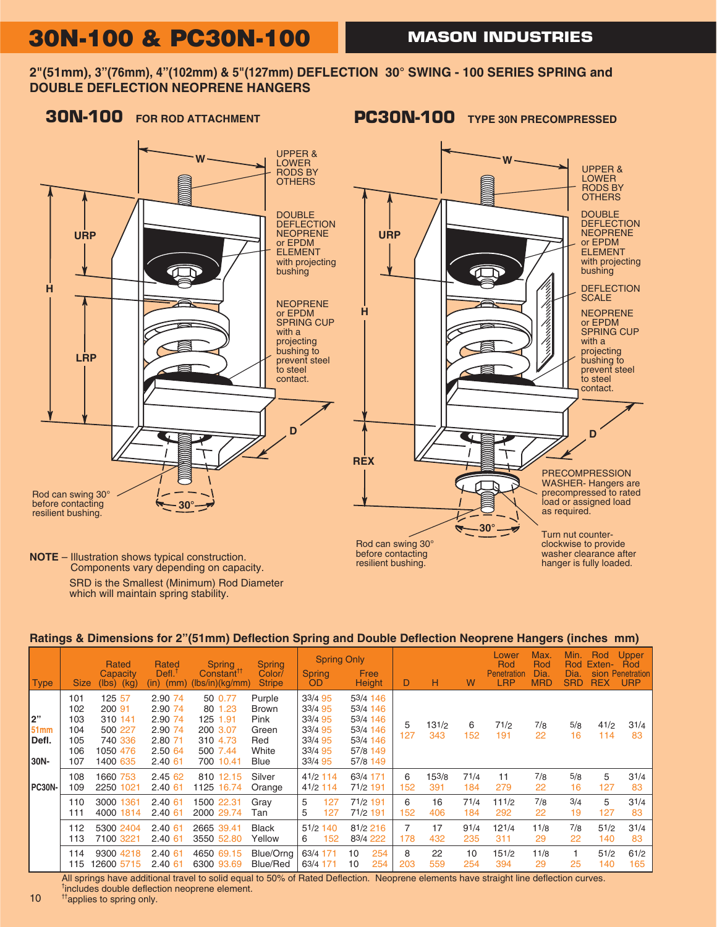## **30N-100 & PC30N-100**

**2"(51mm), 3"(76mm), 4"(102mm) & 5"(127mm) DEFLECTION 30° SWING - 100 SERIES SPRING and DOUBLE DEFLECTION NEOPRENE HANGERS**



### **Ratings & Dimensions for 2"(51mm) Deflection Spring and Double Deflection Neoprene Hangers (inches mm)**

| Type                         | <b>Size</b>                                   | Rated<br>Capacity<br>(lbs)<br>(kg)                                        | Rated<br>$DefL^T$<br>(in)<br>(mm)                                         | <b>Spring</b><br>Constant <sup>™</sup><br>(lbs/in)(kg/mm)                       | <b>Spring</b><br>Color/<br><b>Stripe</b>                        | <b>Spring Only</b><br>Spring<br>OD.                                       | Free<br>Height                                                                   | D        | н            | W           | Lower<br>Rod<br>Penetration<br><b>LRP</b> | Max.<br>Rod<br>Dia.<br><b>MRD</b> | Min.<br><b>Rod</b><br>Dia.<br><b>SRD</b> | Rod<br>Exten-<br>sion<br><b>REX</b> | Upper<br>Rod<br><b>Penetration</b><br><b>URP</b> |
|------------------------------|-----------------------------------------------|---------------------------------------------------------------------------|---------------------------------------------------------------------------|---------------------------------------------------------------------------------|-----------------------------------------------------------------|---------------------------------------------------------------------------|----------------------------------------------------------------------------------|----------|--------------|-------------|-------------------------------------------|-----------------------------------|------------------------------------------|-------------------------------------|--------------------------------------------------|
| l2"<br>51mm<br>Defl.<br>30N- | 101<br>102<br>103<br>104<br>105<br>106<br>107 | 125 57<br>200 91<br>310 141<br>500 227<br>740 336<br>1050 476<br>1400 635 | 2.90 74<br>2.90 74<br>2.90 74<br>2.90 74<br>2.80 71<br>2.50 64<br>2.40 61 | 50 0.77<br>80 1.23<br>125 1.91<br>200 3.07<br>310 4.73<br>500 7.44<br>700 10.41 | Purple<br><b>Brown</b><br>Pink<br>Green<br>Red<br>White<br>Blue | 33/4 95<br>33/4 95<br>33/4 95<br>33/4 95<br>33/4 95<br>33/4 95<br>33/4 95 | 53/4 146<br>53/4 146<br>53/4 146<br>53/4 146<br>53/4 146<br>57/8 149<br>57/8 149 | 5<br>127 | 131/2<br>343 | 6<br>152    | 71/2<br>191                               | 7/8<br>22                         | 5/8<br>16                                | 41/2<br>114                         | 31/4<br>83                                       |
| PC30N-                       | 108<br>109                                    | 1660 753<br>2250 1021                                                     | 2.45 62<br>2.40 61                                                        | 810 12.15<br>1125 16.74                                                         | Silver<br>Orange                                                | 41/2 114<br>41/2 114                                                      | 63/4 171<br>71/2 191                                                             | 6<br>152 | 153/8<br>391 | 71/4<br>184 | 11<br>279                                 | 7/8<br>22                         | 5/8<br>16                                | 5<br>127                            | 31/4<br>83                                       |
|                              | 110<br>111                                    | 3000 1361<br>4000 1814                                                    | 2.40 61<br>2.40 61                                                        | 1500 22.31<br>2000 29.74                                                        | Grav<br>Tan                                                     | 127<br>5<br>127<br>5                                                      | 71/2 191<br>71/2 191                                                             | 6<br>152 | 16<br>406    | 71/4<br>184 | $11^{1/2}$<br>292                         | 7/8<br>22                         | 3/4<br>19                                | 5<br>127                            | 31/4<br>83                                       |
|                              | 112<br>113                                    | 5300 2404<br>7100 3221                                                    | 2.40 61<br>2.40 61                                                        | 2665 39.41<br>3550 52.80                                                        | <b>Black</b><br>Yellow                                          | 51/2 140<br>152<br>6                                                      | 81/2 216<br>83/4 222                                                             | 7<br>178 | 17<br>432    | 91/4<br>235 | 121/4<br>311                              | 11/8<br>29                        | 7/8<br>22                                | 51/2<br>140                         | 31/4<br>83                                       |
|                              | 114<br>115                                    | 9300 4218<br>12600 5715                                                   | 2.40 61<br>2.40 61                                                        | 4650 69.15<br>6300 93.69                                                        | Blue/Orng<br>Blue/Red                                           | 63/4 171<br>63/4 171                                                      | 254<br>10<br>254<br>10                                                           | 8<br>203 | 22<br>559    | 10<br>254   | 151/2<br>394                              | 11/8<br>29                        | 25                                       | 51/2<br>140                         | 61/2<br>165                                      |

All springs have additional travel to solid equal to 50% of Rated Deflection. Neoprene elements have straight line deflection curves. † includes double deflection neoprene element.

 $10$  <sup>tt</sup>applies to spring only.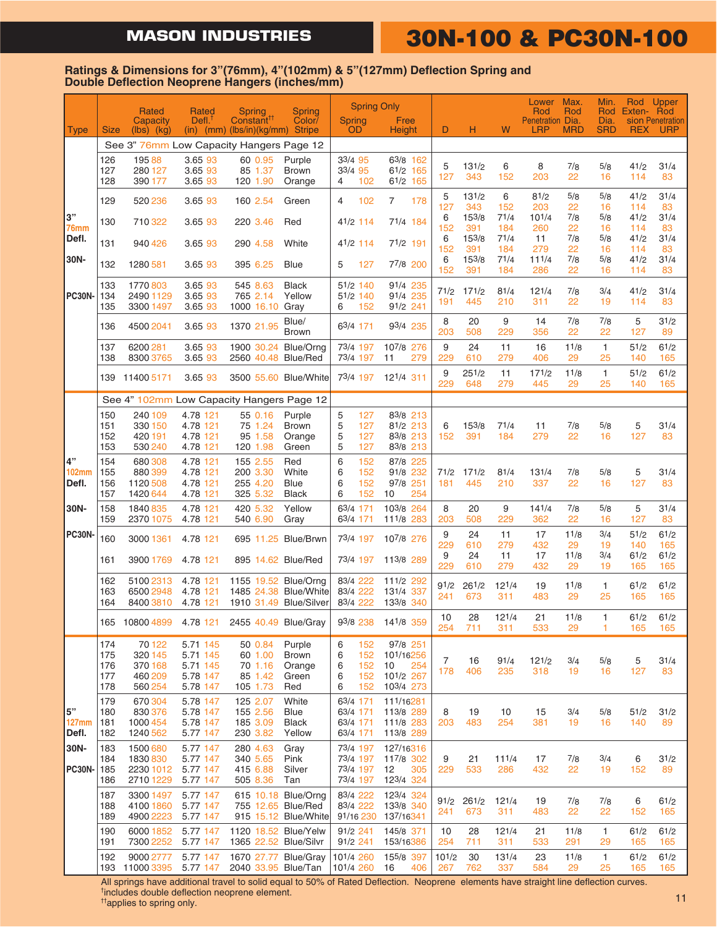## **MASON INDUSTRIES 30N-100 & PC30N-100**

#### **Ratings & Dimensions for 3"(76mm), 4"(102mm) & 5"(127mm) Deflection Spring and Double Deflection Neoprene Hangers (inches/mm)**

|                       |                                 | Rated                                              | Rated                                                    | Spring                                                       | <b>Spring</b>                                    |                                              |                                 | <b>Spring Only</b>                                           |                   |                     |                    | Lower<br>Rod            | Max.<br>Rod        | Min.               | Rod Exten- Rod      | Rod Upper               |
|-----------------------|---------------------------------|----------------------------------------------------|----------------------------------------------------------|--------------------------------------------------------------|--------------------------------------------------|----------------------------------------------|---------------------------------|--------------------------------------------------------------|-------------------|---------------------|--------------------|-------------------------|--------------------|--------------------|---------------------|-------------------------|
| Type                  | <b>Size</b>                     | Capacity<br>$(Ibs)$ $(Kg)$                         | Defl <sub>1</sub>                                        | Constant <sup>11</sup><br>$(in)$ $(mm)$ $(lbs/in)(kg/mm)$    | Color/<br><b>Stripe</b>                          | <b>Spring</b><br><b>OD</b>                   |                                 | Free<br>Height                                               | D                 | н                   | W                  | Penetration Dia.<br>LRP | <b>MRD</b>         | Dia.<br><b>SRD</b> | <b>REX</b>          | sion Penetration<br>URP |
|                       |                                 | See 3" 76mm Low Capacity Hangers Page 12           |                                                          |                                                              |                                                  |                                              |                                 |                                                              |                   |                     |                    |                         |                    |                    |                     |                         |
|                       | 126<br>127<br>128               | 19588<br>280 127<br>390 177                        | 3.65 93<br>3.65 93<br>3.65 93                            | 60 0.95<br>85 1.37<br>120 1.90                               | Purple<br><b>Brown</b><br>Orange                 | 33/4 95<br>33/4 95<br>4                      | 102                             | 63/8 162<br>61/2 165<br>61/2 165                             | 5<br>127          | 131/2<br>343        | 6<br>152           | 8<br>203                | 7/8<br>22          | 5/8<br>16          | 41/2<br>114         | 31/4<br>83              |
|                       | 129                             | 520 236                                            | 3.65 93                                                  | 160 2.54                                                     | Green                                            | 4                                            | 102                             | 7<br>178                                                     | 5                 | 131/2               | 6                  | 81/2                    | 5/8                | 5/8                | 41/2                | 31/4                    |
| 3"<br>76mm            | 130                             | 710 322                                            | 3.65 93                                                  | 220 3.46                                                     | Red                                              | 41/2 114                                     |                                 | 71/4 184                                                     | 127<br>6<br>152   | 343<br>153/8<br>391 | 152<br>71/4<br>184 | 203<br>101/4<br>260     | 22<br>7/8<br>22    | 16<br>5/8<br>16    | 114<br>41/2<br>114  | 83<br>31/4<br>83        |
| Defl.                 | 131                             | 940 426                                            | 3.65 93                                                  | 290 4.58                                                     | White                                            | 41/2 114                                     |                                 | 71/2 191                                                     | 6                 | 153/8<br>391        | 71/4               | 11<br>279               | 7/8                | 5/8                | 41/2                | 31/4                    |
| 30N-                  | 132                             | 1280 581                                           | 3.65 93                                                  | 395 6.25                                                     | <b>Blue</b>                                      | 5                                            | 127                             | 77/8 200                                                     | 152<br>6<br>152   | 153/8<br>391        | 184<br>71/4<br>184 | 111/4<br>286            | 22<br>7/8<br>22    | 16<br>5/8<br>16    | 114<br>41/2<br>114  | 83<br>31/4<br>83        |
| <b>PC30N-</b>         | 133<br>134<br>135               | 1770 803<br>2490 1129<br>3300 1497                 | 3.65 93<br>3.65 93<br>3.65 93                            | 545 8.63<br>765 2.14<br>1000 16.10                           | <b>Black</b><br>Yellow<br>Gray                   | 51/2 140<br>51/2 140<br>6                    | 152                             | 91/4 235<br>91/4 235<br>91/2 241                             | 71/2<br>191       | 171/2<br>445        | 81/4<br>210        | 121/4<br>311            | 7/8<br>22          | 3/4<br>19          | 41/2<br>114         | 31/4<br>83              |
|                       | 136                             | 4500 2041                                          | 3.65 93                                                  | 1370 21.95                                                   | Blue/<br><b>Brown</b>                            | 63/4 171                                     |                                 | 93/4 235                                                     | 8<br>203          | 20<br>508           | 9<br>229           | 14<br>356               | 7/8<br>22          | 7/8<br>22          | 5<br>127            | 31/2<br>89              |
|                       | 137<br>138                      | 6200 281<br>8300 3765                              | 3.65 93<br>3.65 93                                       | 1900 30.24<br>2560 40.48 Blue/Red                            | Blue/Orng                                        | 73/4 197<br>73/4 197                         |                                 | 107/8 276<br>11<br>279                                       | 9<br>229          | 24<br>610           | 11<br>279          | 16<br>406               | 11/8<br>29         | $\mathbf{1}$<br>25 | 51/2<br>140         | 61/2<br>165             |
|                       | 139                             | 11400 5171                                         | 3.65 93                                                  | 3500 55.60 Blue/White                                        |                                                  | 73/4 197                                     |                                 | 121/4 311                                                    | 9<br>229          | 251/2<br>648        | 11<br>279          | 171/2<br>445            | 11/8<br>29         | $\mathbf{1}$<br>25 | 51/2<br>140         | 61/2<br>165             |
|                       |                                 | See 4" 102mm Low Capacity Hangers Page 12          |                                                          |                                                              |                                                  |                                              |                                 |                                                              |                   |                     |                    |                         |                    |                    |                     |                         |
|                       | 150<br>151<br>152<br>153        | 240 109<br>330 150<br>420 191<br>530 240           | 4.78 121<br>4.78 121<br>4.78 121<br>4.78 121             | 55 0.16<br>75 1.24<br>95 1.58<br>120 1.98                    | Purple<br><b>Brown</b><br>Orange<br>Green        | 5<br>5<br>5<br>5                             | 127<br>127<br>127<br>127        | 83/8 213<br>81/2 213<br>83/8 213<br>83/8 213                 | 6<br>152          | 153/8<br>391        | 71/4<br>184        | 11<br>279               | 7/8<br>22          | 5/8<br>16          | 5<br>127            | 31/4<br>83              |
| 4"<br>102mm<br>Defl.  | 154<br>155<br>156<br>157        | 680 308<br>880 399<br>1120 508<br>1420 644         | 4.78 121<br>4.78 121<br>4.78 121<br>4.78 121             | 155 2.55<br>200 3.30<br>255 4.20<br>325 5.32                 | Red<br>White<br>Blue<br><b>Black</b>             | 6<br>6<br>6<br>6                             | 152<br>152<br>152<br>152        | 87/8 225<br>91/8 232<br>97/8 251<br>254<br>10                | 71/2<br>181       | 171/2<br>445        | 81/4<br>210        | 131/4<br>337            | 7/8<br>22          | 5/8<br>16          | 5<br>127            | 31/4<br>83              |
| 30N-                  | 158<br>159                      | 1840 835<br>2370 1075                              | 4.78 121<br>4.78 121                                     | 420 5.32<br>540 6.90                                         | Yellow<br>Gray                                   | 63/4 171<br>63/4 171                         |                                 | 103/8 264<br>111/8 283                                       | 8<br>203          | 20<br>508           | 9<br>229           | 141/4<br>362            | 7/8<br>22          | 5/8<br>16          | 5<br>127            | 31/4<br>83              |
| <b>PC30N-</b>         | 160                             | 3000 1361                                          | 4.78 121                                                 |                                                              | 695 11.25 Blue/Brwn                              | 73/4 197                                     |                                 | 107/8 276                                                    | 9<br>229<br>9     | 24<br>610<br>24     | 11<br>279<br>11    | 17<br>432<br>17         | 11/8<br>29<br>11/8 | 3/4<br>19<br>3/4   | 51/2<br>140<br>61/2 | 61/2<br>165<br>61/2     |
|                       | 161                             | 3900 1769                                          | 4.78 121                                                 | 895 14.62 Blue/Red                                           |                                                  | 73/4 197                                     |                                 | 113/8 289                                                    | 229               | 610                 | 279                | 432                     | 29                 | 19                 | 165                 | 165                     |
|                       | 162<br>163<br>164               | 5100 2313<br>6500 2948<br>8400 3810                | 4.78 121<br>4.78 121<br>4.78 121                         | 1155 19.52 Blue/Orng<br>1485 24.38<br>1910 31.49 Blue/Silver | <b>Blue/White</b>                                | 83/4 222<br>83/4 222<br>83/4 222             |                                 | 111/2 292<br>131/4 337<br>133/8 340                          | 91/2<br>241       | 261/2<br>673        | $12^{1/4}$<br>311  | 19<br>483               | 11/8<br>29         | 1.<br>25           | 61/2<br>165         | 61/2<br>165             |
|                       |                                 | 165 10800 4899                                     |                                                          | 4.78 121 2455 40.49 Blue/Gray                                |                                                  | 93/8 238                                     |                                 | 141/8 359                                                    | 10<br>254         | 28<br>711           | 121/4<br>311       | 21<br>533               | 11/8<br>29         | 1<br>1             | 61/2<br>165         | 61/2<br>165             |
|                       | 174<br>175<br>176<br>177<br>178 | 70 122<br>320 145<br>370 168<br>460 209<br>560 254 | 5.71 145<br>5.71 145<br>5.71 145<br>5.78 147<br>5.78 147 | 50 0.84<br>60 1.00<br>70 1.16<br>85 1.42<br>105 1.73         | Purple<br><b>Brown</b><br>Orange<br>Green<br>Red | 6<br>6<br>6<br>6<br>6                        | 152<br>152<br>152<br>152<br>152 | 97/8 251<br>101/16256<br>10<br>254<br>101/2 267<br>103/4 273 | 7<br>178          | 16<br>406           | 91/4<br>235        | 121/2<br>318            | 3/4<br>19          | 5/8<br>16          | 5<br>127            | 31/4<br>83              |
| 5"<br>127mm<br>Defl.  | 179<br>180<br>181<br>182        | 670 304<br>830 376<br>1000 454<br>1240 562         | 5.78 147<br>5.78 147<br>5.78 147<br>5.77 147             | 125 2.07<br>155 2.56<br>185 3.09<br>230 3.82                 | White<br>Blue<br><b>Black</b><br>Yellow          | 63/4 171<br>63/4 171<br>63/4 171<br>63/4 171 |                                 | 111/16281<br>113/8 289<br>111/8 283<br>113/8 289             | 8<br>203          | 19<br>483           | 10<br>254          | 15<br>381               | 3/4<br>19          | 5/8<br>16          | 51/2<br>140         | 31/2<br>89              |
| 30N-<br><b>PC30N-</b> | 183<br>184<br>185<br>186        | 1500 680<br>1830 830<br>2230 1012<br>2710 1229     | 5.77 147<br>5.77 147<br>5.77 147<br>5.77 147             | 280 4.63<br>340 5.65<br>415 6.88<br>505 8.36                 | Gray<br>Pink<br>Silver<br>Tan                    | 73/4 197<br>73/4 197<br>73/4 197<br>73/4 197 |                                 | 127/16316<br>117/8 302<br>12<br>305<br>123/4 324             | 9<br>229          | 21<br>533           | 111/4<br>286       | 17<br>432               | 7/8<br>22          | 3/4<br>19          | 6<br>152            | 31/2<br>89              |
|                       | 187<br>188<br>189               | 3300 1497<br>4100 1860<br>4900 2223                | 5.77 147<br>5.77 147<br>5.77 147                         | 755 12.65 Blue/Red                                           | 615 10.18 Blue/Orng<br>915 15.12 Blue/White      | 83/4 222<br>83/4 222<br>91/16 230            |                                 | 123/4 324<br>133/8 340<br>137/16341                          | 91/2<br>241       | 261/2<br>673        | 121/4<br>311       | 19<br>483               | 7/8<br>22          | 7/8<br>22          | 6<br>152            | 61/2<br>165             |
|                       | 190<br>191                      | 6000 1852<br>7300 2252                             | 5.77 147<br>5.77 147                                     | 1120 18.52 Blue/Yelw<br>1365 22.52 Blue/Silvr                |                                                  | 91/2 241<br>91/2 241                         |                                 | 145/8 371<br>153/16386                                       | 10<br>254         | 28<br>711           | 121/4<br>311       | 21<br>533               | 11/8<br>291        | 1.<br>29           | 61/2<br>165         | 61/2<br>165             |
|                       | 192                             | 9000 2777<br>193 11000 3395 5.77 147               | 5.77 147                                                 | 1670 27.77 Blue/Gray<br>2040 33.95 Blue/Tan                  |                                                  | 101/4 260<br>101/4 260                       |                                 | 155/8 397<br>16<br>406                                       | $10^{1/2}$<br>267 | 30<br>762           | 131/4<br>337       | 23<br>584               | 11/8<br>29         | $\mathbf{1}$<br>25 | 61/2<br>165         | 61/2<br>165             |

All springs have additional travel to solid equal to 50% of Rated Deflection. Neoprene elements have straight line deflection curves. † includes double deflection neoprene element.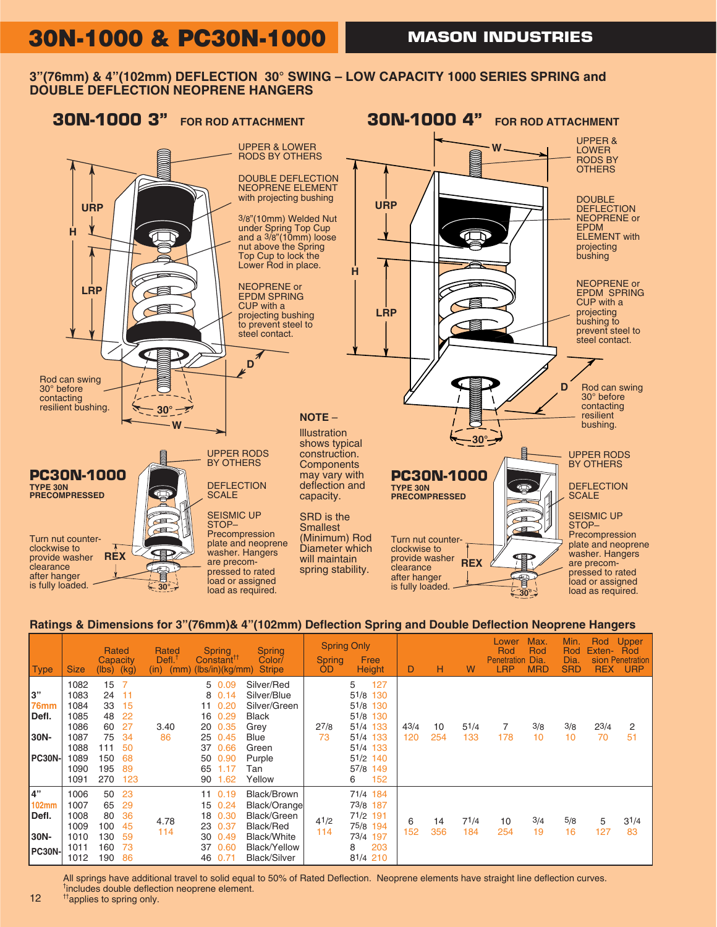## **30N-1000 & PC30N-1000**

### **3"(76mm) & 4"(102mm) DEFLECTION 30° SWING – LOW CAPACITY 1000 SERIES SPRING and DOUBLE DEFLECTION NEOPRENE HANGERS**



### **Ratings & Dimensions for 3"(76mm)& 4"(102mm) Deflection Spring and Double Deflection Neoprene Hangers**

| Type                                          | <b>Size</b>                                                                  | Rated<br>Capacity<br>$(lbs)$ (kg)                            |                                                                       | Rated<br>Defl. <sup>1</sup><br>(mm)<br>(in) | <b>Spring</b><br>Constant <sup>11</sup><br>(lbs/in)(kg/mm)                                                                 | <b>Spring</b><br>Color/<br><b>Stripe</b>                                                                                    | <b>Spring</b><br><b>OD</b> | <b>Spring Only</b><br>Free<br><b>Height</b>                                                                          | D           | н         | W           | Lower<br>Rod<br><b>Penetration</b><br><b>LRP</b> | Max.<br>Rod<br>Dia<br><b>MRD</b> | Min.<br>Rod<br>Dia<br><b>SRD</b> | Rod<br>Exten-<br><b>REX</b> | Upper<br>Rod<br>sion Penetration<br><b>URP</b> |
|-----------------------------------------------|------------------------------------------------------------------------------|--------------------------------------------------------------|-----------------------------------------------------------------------|---------------------------------------------|----------------------------------------------------------------------------------------------------------------------------|-----------------------------------------------------------------------------------------------------------------------------|----------------------------|----------------------------------------------------------------------------------------------------------------------|-------------|-----------|-------------|--------------------------------------------------|----------------------------------|----------------------------------|-----------------------------|------------------------------------------------|
| l3"<br>76mm<br>Defl.<br>30N-<br><b>PC30N-</b> | 1082<br>1083<br>1084<br>1085<br>1086<br>1087<br>1088<br>1089<br>1090<br>1091 | 15<br>24<br>33<br>48<br>60<br>75<br>111<br>150<br>195<br>270 | $\overline{7}$<br>11<br>15<br>22<br>27<br>34<br>50<br>68<br>89<br>123 | 3.40<br>86                                  | 5 0.09<br>8 0.14<br>0.20<br>11<br>0.29<br>16<br>20 0.35<br>25 0.45<br>0.66<br>37<br>0.90<br>50<br>65<br>1.17<br>1.62<br>90 | Silver/Red<br>Silver/Blue<br>Silver/Green<br><b>Black</b><br>Grey<br><b>Blue</b><br>Green<br>Purple<br>Tan<br>Yellow        | 27/8<br>73                 | 127<br>5<br>51/8 130<br>51/8 130<br>51/8 130<br>51/4 133<br>51/4 133<br>51/4 133<br>51/2 140<br>57/8 149<br>152<br>6 | 43/4<br>120 | 10<br>254 | 51/4<br>133 | 178                                              | 3/8<br>10                        | 3/8<br>10                        | 23/4<br>70                  | 2<br>51                                        |
| 4"<br><b>102mm</b><br>Defl.<br>30N-<br>PC30N- | 1006<br>1007<br>1008<br>1009<br>1010<br>1011<br>1012                         | 50<br>65<br>80<br>100<br>130<br>160<br>190                   | 23<br>29<br>36<br>45<br>59<br>73<br>86                                | 4.78<br>114                                 | 11 0.19<br>15 0.24<br>18 0.30<br>23 0.37<br>0.49<br>30<br>37<br>0.60<br>46<br>0.71                                         | Black/Brown<br>Black/Orange<br>Black/Green<br>Black/Red<br><b>Black/White</b><br><b>Black/Yellow</b><br><b>Black/Silver</b> | 41/2<br>114                | 71/4 184<br>73/8 187<br>71/2 191<br>75/8 194<br>73/4 197<br>203<br>8<br>81/4 210                                     | 6<br>152    | 14<br>356 | 71/4<br>184 | 10<br>254                                        | 3/4<br>19                        | 5/8<br>16                        | 5<br>127                    | 31/4<br>83                                     |

All springs have additional travel to solid equal to 50% of Rated Deflection. Neoprene elements have straight line deflection curves. † includes double deflection neoprene element.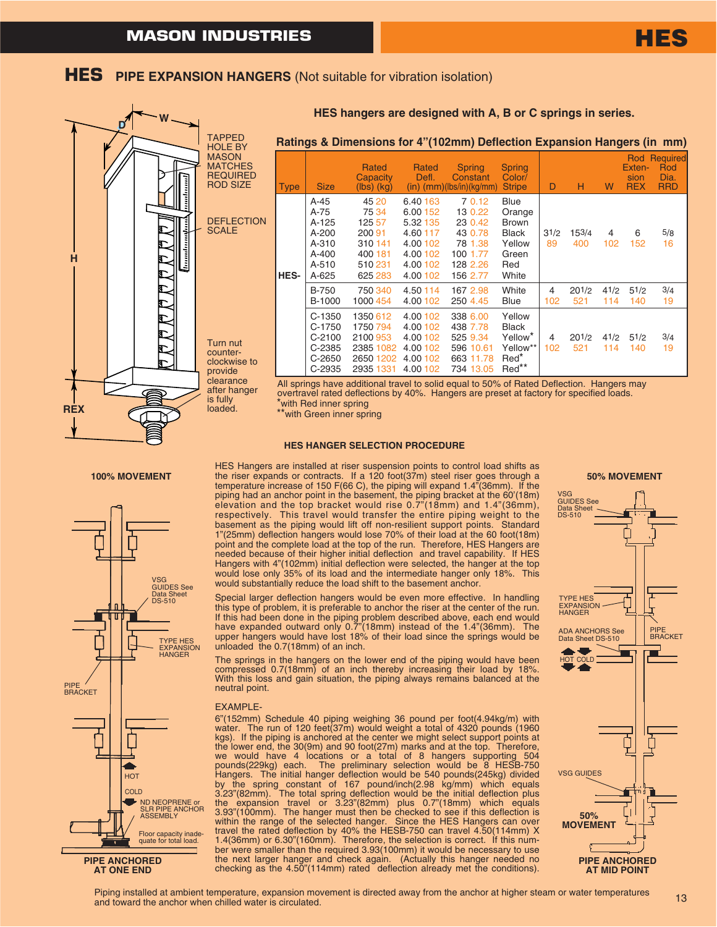

#### **HES HANGER SELECTION PROCEDURE**



**PIPE ANCHORED AT ONE END**

HES Hangers are installed at riser suspension points to control load shifts as the riser expands or contracts. If a 120 foot(37m) steel riser goes through a 100% MOVEMENT the riser expands or contracts. If a 120 foot(37m) steel riser goes through a **50% MOVEMENT**<br>temperature increase of 150 F(66 C), the piping will expand 1.4"(36mm). If the piping had an anchor point in the basement, the piping bracket at the 60'(18m) elevation and the top bracket would rise 0.7"(18mm) and 1.4"(36mm), respectively. This travel would transfer the entire piping weight to the basement as the piping would lift off non-resilient support points. Standard 1"(25mm) deflection hangers would lose 70% of their load at the 60 foot(18m) point and the complete load at the top of the run. Therefore, HES Hangers are needed because of their higher initial deflection and travel capability. If HES Hangers with 4"(102mm) initial deflection were selected, the hanger at the top would lose only 35% of its load and the intermediate hanger only 18%. This would substantially reduce the load shift to the basement anchor.

> Special larger deflection hangers would be even more effective. In handling this type of problem, it is preferable to anchor the riser at the center of the run. If this had been done in the piping problem described above, each end would have expanded outward only 0.7"(18mm) instead of the 1.4"(36mm). The upper hangers would have lost 18% of their load since the springs would be unloaded the 0.7(18mm) of an inch.

> The springs in the hangers on the lower end of the piping would have been compressed 0.7(18mm) of an inch thereby increasing their load by 18%. With this loss and gain situation, the piping always remains balanced at the neutral point.

#### EXAMPLE-

6"(152mm) Schedule 40 piping weighing 36 pound per foot(4.94kg/m) with water. The run of 120 feet(37m) would weight a total of 4320 pounds (1960 kgs). If the piping is anchored at the center we might select support points at the lower end, the 30(9m) and 90 foot(27m) marks and at the top. Therefore, we would have 4 locations or a total of 8 hangers supporting 504 pounds(229kg) each. The preliminary selection would be 8 HESB-750 Hangers. The initial hanger deflection would be 540 pounds(245kg) divided by the spring constant of 167 pound/inch(2.98 kg/mm) which equals 3.23"(82mm). The total spring deflection would be the initial deflection plus the expansion travel or 3.23"(82mm) plus 0.7"(18mm) which equals 3.93"(100mm). The hanger must then be checked to see if this deflection is within the range of the selected hanger. Since the HES Hangers can over travel the rated deflection by 40% the HESB-750 can travel 4.50(114mm) X 1.4(36mm) or 6.30"(160mm). Therefore, the selection is correct. If this number were smaller than the required 3.93(100mm) it would be necessary to use the next larger hanger and check again. (Actually this hanger needed no checking as the 4.50"(114mm) rated deflection already met the conditions).

**HES**



Piping installed at ambient temperature, expansion movement is directed away from the anchor at higher steam or water temperatures and toward the anchor when chilled water is circulated.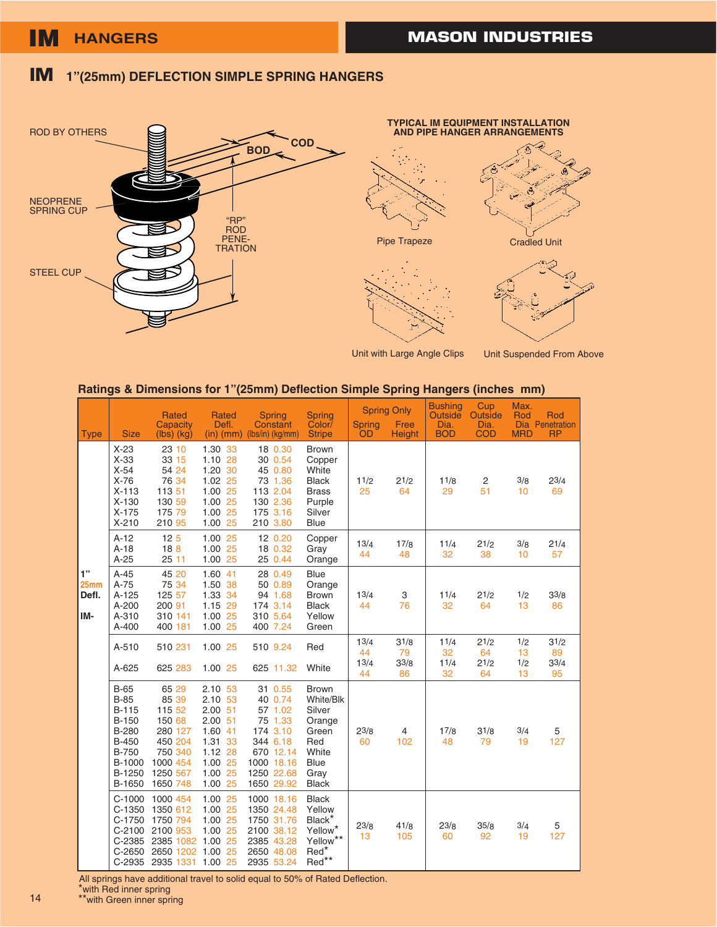## **IM 1"(25mm) DEFLECTION SIMPLE SPRING HANGERS**



**TYPICAL IM EQUIPMENT INSTALLATION AND PIPE HANGER ARRANGEMENTS** Pipe Trapeze Cradled Unit



Unit Suspended From Above

#### **Ratings & Dimensions for 1"(25mm) Deflection Simple Spring Hangers (inches mm)**

| <b>Type</b>                            | <b>Size</b>                                                                                                             | <b>Rated</b><br>Capacity<br>$(lbs)$ $(kg)$                                                                 | <b>Rated</b><br>Defl.                                                                                          | <b>Spring</b><br>Constant<br>$(in)$ (mm) $(lbs/in)$ (kg/mm)                                                             | <b>Spring</b><br>Color/<br><b>Stripe</b>                                                                      | <b>Spring</b><br>OD      | <b>Spring Only</b><br>Free<br><b>Height</b> | <b>Bushing</b><br><b>Outside</b><br>Dia.<br><b>BOD</b> | Cup<br>Outside<br>Dia.<br><b>COD</b> | Max.<br>Rod<br><b>MRD</b> | Rod<br>Dia Penetration<br><b>RP</b> |
|----------------------------------------|-------------------------------------------------------------------------------------------------------------------------|------------------------------------------------------------------------------------------------------------|----------------------------------------------------------------------------------------------------------------|-------------------------------------------------------------------------------------------------------------------------|---------------------------------------------------------------------------------------------------------------|--------------------------|---------------------------------------------|--------------------------------------------------------|--------------------------------------|---------------------------|-------------------------------------|
|                                        | $X-23$<br>$X-33$<br>$X-54$<br>$X-76$<br>$X-113$<br>$X-130$<br>$X-175$<br>$X-210$                                        | 23 10<br>33 15<br>54 24<br>76 34<br>113 51<br>130 59<br>175 79<br>210 95                                   | 1.30 33<br>1.10 28<br>1.20 30<br>1.02 25<br>1.00 25<br>1.00 25<br>25<br>1.00<br>1.00 25                        | 18 0.30<br>30 0.54<br>45 0.80<br>73 1.36<br>113 2.04<br>130 2.36<br>175 3.16<br>210 3.80                                | <b>Brown</b><br>Copper<br>White<br><b>Black</b><br><b>Brass</b><br>Purple<br>Silver<br>Blue                   | 11/2<br>25               | 21/2<br>64                                  | 11/8<br>29                                             | $\overline{c}$<br>51                 | 3/8<br>10                 | 23/4<br>69                          |
|                                        | $A-12$<br>$A-18$<br>$A-25$                                                                                              | 12 <sub>5</sub><br>18 <sub>8</sub><br>25 11                                                                | 1.00 25<br>1.00 25<br>1.00 25                                                                                  | 12 0.20<br>18 0.32<br>25 0.44                                                                                           | Copper<br>Gray<br>Orange                                                                                      | 13/4<br>44               | 17/8<br>48                                  | 11/4<br>32                                             | 21/2<br>38                           | 3/8<br>10                 | 21/4<br>57                          |
| 1"<br>25 <sub>mm</sub><br>Defl.<br>IM- | $A-45$<br>$A-75$<br>A-125<br>$A-200$<br>A-310<br>A-400                                                                  | 45 20<br>75 34<br>125 57<br>200 91<br>310 141<br>400 181                                                   | 1.60 41<br>1.50 38<br>1.33 34<br>1.15 29<br>1.00 25<br>1.00 25                                                 | 28 0.49<br>50 0.89<br>94 1.68<br>174 3.14<br>310 5.64<br>400 7.24                                                       | <b>Blue</b><br>Orange<br><b>Brown</b><br><b>Black</b><br>Yellow<br>Green                                      | 13/4<br>44               | 3<br>76                                     | 11/4<br>32                                             | 21/2<br>64                           | 1/2<br>13                 | 33/8<br>86                          |
|                                        | A-510<br>A-625                                                                                                          | 510 231<br>625 283                                                                                         | 1.00 25<br>1.00 25                                                                                             | 510 9.24<br>625 11.32                                                                                                   | Red<br>White                                                                                                  | 13/4<br>44<br>13/4<br>44 | 31/8<br>79<br>33/8<br>86                    | 11/4<br>32<br>11/4<br>32                               | 21/2<br>64<br>21/2<br>64             | 1/2<br>13<br>1/2<br>13    | 31/2<br>89<br>33/4<br>95            |
|                                        | $B-65$<br>$B-85$<br><b>B-115</b><br><b>B-150</b><br>B-280<br><b>B-450</b><br><b>B-750</b><br>B-1000<br>B-1250<br>B-1650 | 65 29<br>85 39<br>115 52<br>150 68<br>280 127<br>450 204<br>750 340<br>1000 454<br>1250 567<br>1650 748    | 2.10 53<br>2.10 53<br>$2.00$ 51<br>$2.00$ 51<br>1.60 41<br>1.31 33<br>1.12 28<br>1.00 25<br>1.00 25<br>1.00 25 | 31 0.55<br>40 0.74<br>57 1.02<br>75 1.33<br>174 3.10<br>344 6.18<br>670 12.14<br>1000 18.16<br>1250 22.68<br>1650 29.92 | <b>Brown</b><br>White/Blk<br>Silver<br>Orange<br>Green<br>Red<br>White<br><b>Blue</b><br>Gray<br><b>Black</b> | 23/8<br>60               | 4<br>102                                    | 17/8<br>48                                             | 31/8<br>79                           | 3/4<br>19                 | 5<br>127                            |
|                                        | $C-1000$<br>$C-1350$<br>C-1750<br>$C-2100$<br>C-2385<br>$C-2650$                                                        | 1000 454<br>1350 612<br>1750 794<br>2100 953<br>2385 1082<br>2650 1202 1.00 25<br>C-2935 2935 1331 1.00 25 | 1.00 25<br>1.00 25<br>1.00 25<br>1.00 25<br>1.00 25                                                            | 1000 18.16<br>1350 24.48<br>1750 31.76<br>2100 38.12<br>2385 43.28<br>2650 48.08<br>2935 53.24                          | <b>Black</b><br>Yellow<br>Black*<br>Yellow <sup>*</sup><br>Yellow**<br>Red <sup>*</sup><br>Red**              | 23/8<br>13               | 41/8<br>105                                 | 23/8<br>60                                             | 35/8<br>92                           | 3/4<br>19                 | 5<br>127                            |

All springs have additional travel to solid equal to 50% of Rated Deflection.

\*with Red inner spring

14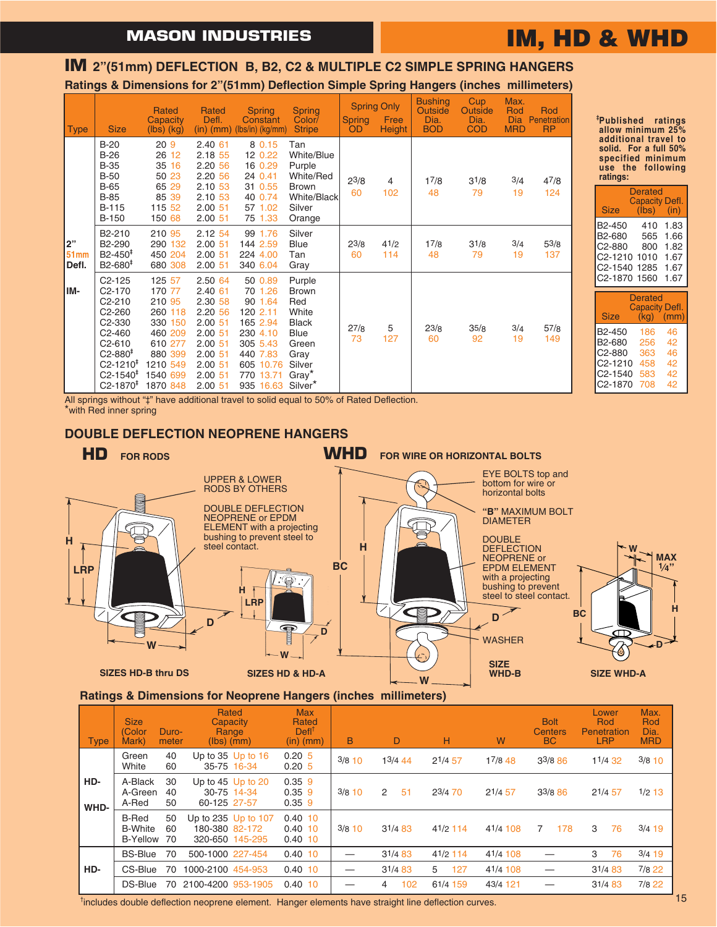## **IM, HD & WHD**

### **Ratings & Dimensions for 2"(51mm) Deflection Simple Spring Hangers (inches millimeters) IM 2"(51mm) DEFLECTION B, B2, C2 & MULTIPLE C2 SIMPLE SPRING HANGERS**

| <b>Type</b>                | <b>Size</b>                                                                                                                                                                                                                     | <b>Rated</b><br>Capacity<br>$(lbs)$ $(kg)$                                                                            | <b>Rated</b><br>Defl.<br>$(in)$ $(mm)$                                                                          | <b>Spring</b><br>Constant<br>(lbs/in) (kg/mm)                                                                                    | <b>Spring</b><br>Color/<br><b>Stripe</b>                                                                                                     | <b>Spring</b><br>OD | <b>Spring Only</b><br>Free<br><b>Height</b> | <b>Bushing</b><br>Outside<br>Dia.<br><b>BOD</b> | Cup<br>Outside<br>Dia.<br><b>COD</b> | Max.<br>Rod<br><b>Dia</b><br><b>MRD</b> | Rod<br>Penetration<br><b>RP</b> |
|----------------------------|---------------------------------------------------------------------------------------------------------------------------------------------------------------------------------------------------------------------------------|-----------------------------------------------------------------------------------------------------------------------|-----------------------------------------------------------------------------------------------------------------|----------------------------------------------------------------------------------------------------------------------------------|----------------------------------------------------------------------------------------------------------------------------------------------|---------------------|---------------------------------------------|-------------------------------------------------|--------------------------------------|-----------------------------------------|---------------------------------|
|                            | $B-20$<br>$B-26$<br><b>B-35</b><br><b>B-50</b><br><b>B-65</b><br><b>B-85</b><br><b>B-115</b><br><b>B-150</b>                                                                                                                    | 20 <sub>9</sub><br>26 12<br>35 16<br>50 23<br>65 29<br>85 39<br>115 52<br>150 68                                      | 2.40 61<br>2.18 55<br>2.20 56<br>2.20 56<br>2.10 53<br>2.10 53<br>2.00 51<br>2.0051                             | 8 0.15<br>12 0.22<br>16 0.29<br>24 0.41<br>31 0.55<br>40 0.74<br>57 1.02<br>75 1.33                                              | Tan<br>White/Blue<br>Purple<br>White/Red<br><b>Brown</b><br>White/Black<br>Silver<br>Orange                                                  | $2^{3/8}$<br>60     | 4<br>102                                    | 17/8<br>48                                      | 31/8<br>79                           | 3/4<br>19                               | 47/8<br>124                     |
| 2"<br><b>51mm</b><br>Defl. | B <sub>2</sub> -210<br>B <sub>2</sub> -290<br>$B2 - 450^+$<br>$B2 - 680^+$                                                                                                                                                      | 210 95<br>290 132<br>450 204<br>680 308                                                                               | 2.12 54<br>2.0051<br>2.0051<br>2.00 51                                                                          | 99 1.76<br>144 2.59<br>224 4.00<br>340 6.04                                                                                      | Silver<br><b>Blue</b><br>Tan<br>Gray                                                                                                         | 23/8<br>60          | 41/2<br>114                                 | 17/8<br>48                                      | 31/8<br>79                           | 3/4<br>19                               | 53/8<br>137                     |
| IM-                        | $C2 - 125$<br>C <sub>2</sub> -170<br>C <sub>2</sub> -210<br>C2-260<br>C <sub>2</sub> -330<br>C <sub>2</sub> -460<br>C <sub>2</sub> -610<br>$C2 - 880‡$<br>$C2 - 1210$ <sup>#</sup><br>$C2 - 1540^+$<br>$C2 - 1870$ <sup>‡</sup> | 125 57<br>170 77<br>210 95<br>260 118<br>330 150<br>460 209<br>610 277<br>880 399<br>1210 549<br>1540 699<br>1870 848 | 2.50 64<br>2.40 61<br>2.30 58<br>2.20 56<br>2.0051<br>2.0051<br>2.0051<br>2.0051<br>2.0051<br>2.0051<br>2.00 51 | 50 0.89<br>70 1.26<br>90 1.64<br>120 2.11<br>165 2.94<br>230 4.10<br>305 5.43<br>440 7.83<br>605 10.76<br>770 13.71<br>935 16.63 | Purple<br><b>Brown</b><br>Red<br>White<br><b>Black</b><br><b>Blue</b><br>Green<br>Gray<br>Silver<br>Gray <sup>*</sup><br>Silver <sup>*</sup> | 27/8<br>73          | 5<br>127                                    | 23/8<br>60                                      | 35/8<br>92                           | 3/4<br>19                               | 57/8<br>149                     |

**‡ Published ratings allow minimum 25% additional travel to solid. For a full 50% specified minimum use the following ratings:**

| <b>Size</b>                                                                                                       | Derated<br><b>Capacity Defl.</b><br>(lbs) | (in)                                         |  |  |  |  |  |  |
|-------------------------------------------------------------------------------------------------------------------|-------------------------------------------|----------------------------------------------|--|--|--|--|--|--|
| B <sub>2</sub> -450<br>B <sub>2</sub> -680<br>C <sub>2</sub> -880<br>C2-1210 1010<br>C2-1540 1285<br>C2-1870 1560 | 410<br>565<br>800                         | 1.83<br>1.66<br>1.82<br>1.67<br>1.67<br>1.67 |  |  |  |  |  |  |
| <b>Derated</b>                                                                                                    |                                           |                                              |  |  |  |  |  |  |

| <b>Size</b>          | (kg). | <b>Capacity Defl.</b><br>(mm) |
|----------------------|-------|-------------------------------|
|                      |       |                               |
| B2-450               | 186   | 46                            |
| B2-680               | 256   | 42                            |
| C2-880               | 363   | 46                            |
| C <sub>2</sub> -1210 | 458   | 42                            |
| C2-1540              | 583   | 42                            |
| C2-1870              | 708   | 42                            |

All springs without "‡" have additional travel to solid equal to 50% of Rated Deflection. \*with Red inner spring

### **DOUBLE DEFLECTION NEOPRENE HANGERS**



### **Ratings & Dimensions for Neoprene Hangers (inches millimeters)**

| <b>Type</b> | <b>Size</b><br>(Color<br>Mark)                    | Duro-<br>meter | Capacity<br>Range<br>$(lbs)$ (mm) | Rated                                  | <b>Max</b><br>Rated<br>$DefI^{\dagger}$<br>$(in)$ (mm) | B        | D       |     | н          |     | W        | <b>Bolt</b><br><b>Centers</b><br>BC |             |   | Lower<br>Rod<br>Penetration<br><b>LRP</b> | Max.<br>Rod<br>Dia.<br><b>MRD</b> |
|-------------|---------------------------------------------------|----------------|-----------------------------------|----------------------------------------|--------------------------------------------------------|----------|---------|-----|------------|-----|----------|-------------------------------------|-------------|---|-------------------------------------------|-----------------------------------|
|             | Green<br>White                                    | 40<br>60       |                                   | Up to $35$ Up to $16$<br>35-75 16-34   | 0.205<br>0.205                                         | $3/8$ 10 | 13/4 44 |     | 21/457     |     | 17/8 48  |                                     | $3^{3/8}86$ |   | 11/4 32                                   | $3/8$ 10                          |
| HD-<br>WHD- | A-Black<br>A-Green<br>A-Red                       | 30<br>40<br>50 | 60-125 27-57                      | Up to $45$ Up to $20$<br>30-75 14-34   | $0.35$ 9<br>$0.35$ 9<br>$0.35$ 9                       | $3/8$ 10 | 2       | 51  | 23/4 70    |     | 21/457   |                                     | 33/886      |   | 21/457                                    | $1/2$ 13                          |
|             | <b>B-Red</b><br><b>B-White</b><br><b>B-Yellow</b> | 50<br>60<br>70 | 180-380 82-172                    | Up to 235 Up to 107<br>320-650 145-295 | 0.4010<br>$0.40$ 10<br>0.4010                          | $3/8$ 10 | 31/483  |     | 41/2 114   |     | 41/4 108 | 7                                   | 178         | 3 | 76                                        | $3/4$ 19                          |
|             | <b>BS-Blue</b>                                    | 70             | 500-1000 227-454                  |                                        | 0.4010                                                 | —        | 31/483  |     | $41/2$ 114 |     | 41/4 108 |                                     |             | 3 | 76                                        | $3/4$ 19                          |
| HD-         | CS-Blue                                           | 70             | 1000-2100 454-953                 |                                        | 0.4010                                                 | —        | 31/483  |     | 5          | 127 | 41/4 108 |                                     |             |   | 31/483                                    | $7/8$ 22                          |
|             | DS-Blue                                           | 70             | 2100-4200 953-1905                |                                        | $0.40$ 10                                              |          | 4       | 102 | 61/4 159   |     | 43/4 121 |                                     |             |   | 31/483                                    | $7/8$ 22                          |